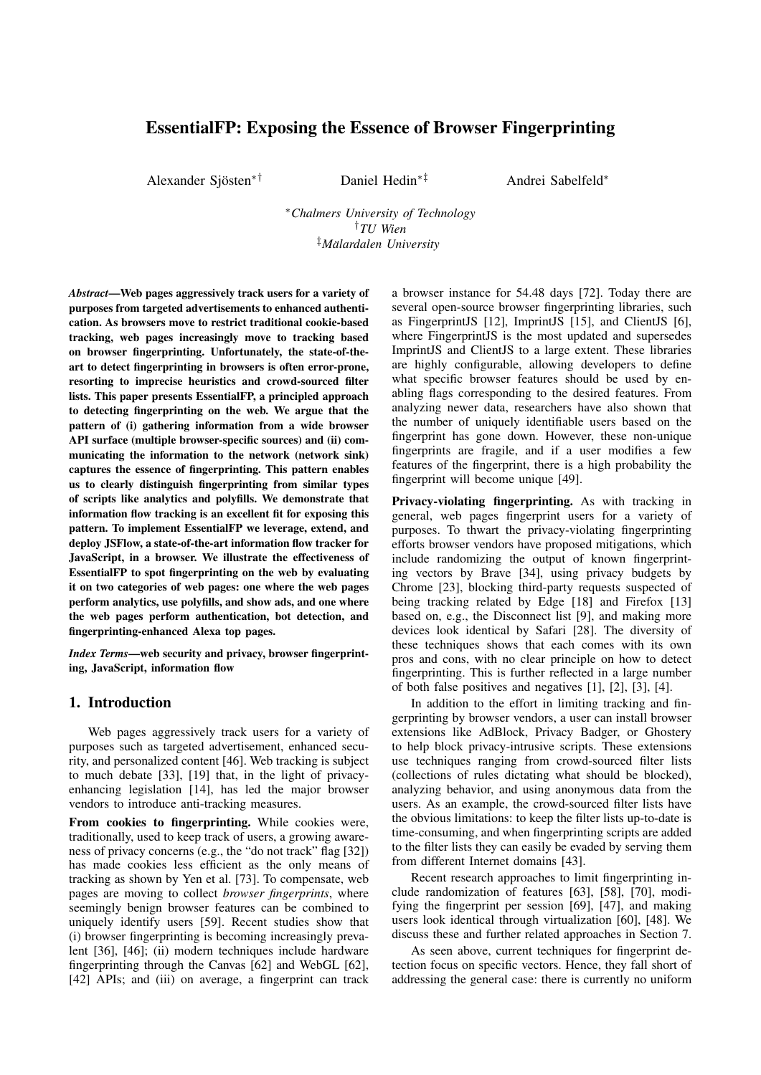# EssentialFP: Exposing the Essence of Browser Fingerprinting

Alexander Sjösten<sup>\*†</sup>

∗† Daniel Hedin∗‡ Andrei Sabelfeld<sup>∗</sup>

<sup>∗</sup>*Chalmers University of Technology* †*TU Wien* ‡*Malardalen University ¨*

*Abstract*—Web pages aggressively track users for a variety of purposes from targeted advertisements to enhanced authentication. As browsers move to restrict traditional cookie-based tracking, web pages increasingly move to tracking based on browser fingerprinting. Unfortunately, the state-of-theart to detect fingerprinting in browsers is often error-prone, resorting to imprecise heuristics and crowd-sourced filter lists. This paper presents EssentialFP, a principled approach to detecting fingerprinting on the web. We argue that the pattern of (i) gathering information from a wide browser API surface (multiple browser-specific sources) and (ii) communicating the information to the network (network sink) captures the essence of fingerprinting. This pattern enables us to clearly distinguish fingerprinting from similar types of scripts like analytics and polyfills. We demonstrate that information flow tracking is an excellent fit for exposing this pattern. To implement EssentialFP we leverage, extend, and deploy JSFlow, a state-of-the-art information flow tracker for JavaScript, in a browser. We illustrate the effectiveness of EssentialFP to spot fingerprinting on the web by evaluating it on two categories of web pages: one where the web pages perform analytics, use polyfills, and show ads, and one where the web pages perform authentication, bot detection, and fingerprinting-enhanced Alexa top pages.

*Index Terms*—web security and privacy, browser fingerprinting, JavaScript, information flow

### 1. Introduction

Web pages aggressively track users for a variety of purposes such as targeted advertisement, enhanced security, and personalized content [\[46\]](#page-11-0). Web tracking is subject to much debate [\[33\]](#page-11-1), [\[19\]](#page-10-0) that, in the light of privacyenhancing legislation [\[14\]](#page-10-1), has led the major browser vendors to introduce anti-tracking measures.

From cookies to fingerprinting. While cookies were, traditionally, used to keep track of users, a growing awareness of privacy concerns (e.g., the "do not track" flag [\[32\]](#page-11-2)) has made cookies less efficient as the only means of tracking as shown by Yen et al. [\[73\]](#page-11-3). To compensate, web pages are moving to collect *browser fingerprints*, where seemingly benign browser features can be combined to uniquely identify users [\[59\]](#page-11-4). Recent studies show that (i) browser fingerprinting is becoming increasingly prevalent [\[36\]](#page-11-5), [\[46\]](#page-11-0); (ii) modern techniques include hardware fingerprinting through the Canvas [\[62\]](#page-11-6) and WebGL [\[62\]](#page-11-6), [\[42\]](#page-11-7) APIs; and (iii) on average, a fingerprint can track a browser instance for 54.48 days [\[72\]](#page-11-8). Today there are several open-source browser fingerprinting libraries, such as FingerprintJS [\[12\]](#page-10-2), ImprintJS [\[15\]](#page-10-3), and ClientJS [\[6\]](#page-10-4), where FingerprintJS is the most updated and supersedes ImprintJS and ClientJS to a large extent. These libraries are highly configurable, allowing developers to define what specific browser features should be used by enabling flags corresponding to the desired features. From analyzing newer data, researchers have also shown that the number of uniquely identifiable users based on the fingerprint has gone down. However, these non-unique fingerprints are fragile, and if a user modifies a few features of the fingerprint, there is a high probability the fingerprint will become unique [\[49\]](#page-11-9).

Privacy-violating fingerprinting. As with tracking in general, web pages fingerprint users for a variety of purposes. To thwart the privacy-violating fingerprinting efforts browser vendors have proposed mitigations, which include randomizing the output of known fingerprinting vectors by Brave [\[34\]](#page-11-10), using privacy budgets by Chrome [\[23\]](#page-11-11), blocking third-party requests suspected of being tracking related by Edge [\[18\]](#page-10-5) and Firefox [\[13\]](#page-10-6) based on, e.g., the Disconnect list [\[9\]](#page-10-7), and making more devices look identical by Safari [\[28\]](#page-11-12). The diversity of these techniques shows that each comes with its own pros and cons, with no clear principle on how to detect fingerprinting. This is further reflected in a large number of both false positives and negatives [\[1\]](#page-10-8), [\[2\]](#page-10-9), [\[3\]](#page-10-10), [\[4\]](#page-10-11).

In addition to the effort in limiting tracking and fingerprinting by browser vendors, a user can install browser extensions like AdBlock, Privacy Badger, or Ghostery to help block privacy-intrusive scripts. These extensions use techniques ranging from crowd-sourced filter lists (collections of rules dictating what should be blocked), analyzing behavior, and using anonymous data from the users. As an example, the crowd-sourced filter lists have the obvious limitations: to keep the filter lists up-to-date is time-consuming, and when fingerprinting scripts are added to the filter lists they can easily be evaded by serving them from different Internet domains [\[43\]](#page-11-13).

Recent research approaches to limit fingerprinting include randomization of features [\[63\]](#page-11-14), [\[58\]](#page-11-15), [\[70\]](#page-11-16), modifying the fingerprint per session [\[69\]](#page-11-17), [\[47\]](#page-11-18), and making users look identical through virtualization [\[60\]](#page-11-19), [\[48\]](#page-11-20). We discuss these and further related approaches in Section [7.](#page-8-0)

As seen above, current techniques for fingerprint detection focus on specific vectors. Hence, they fall short of addressing the general case: there is currently no uniform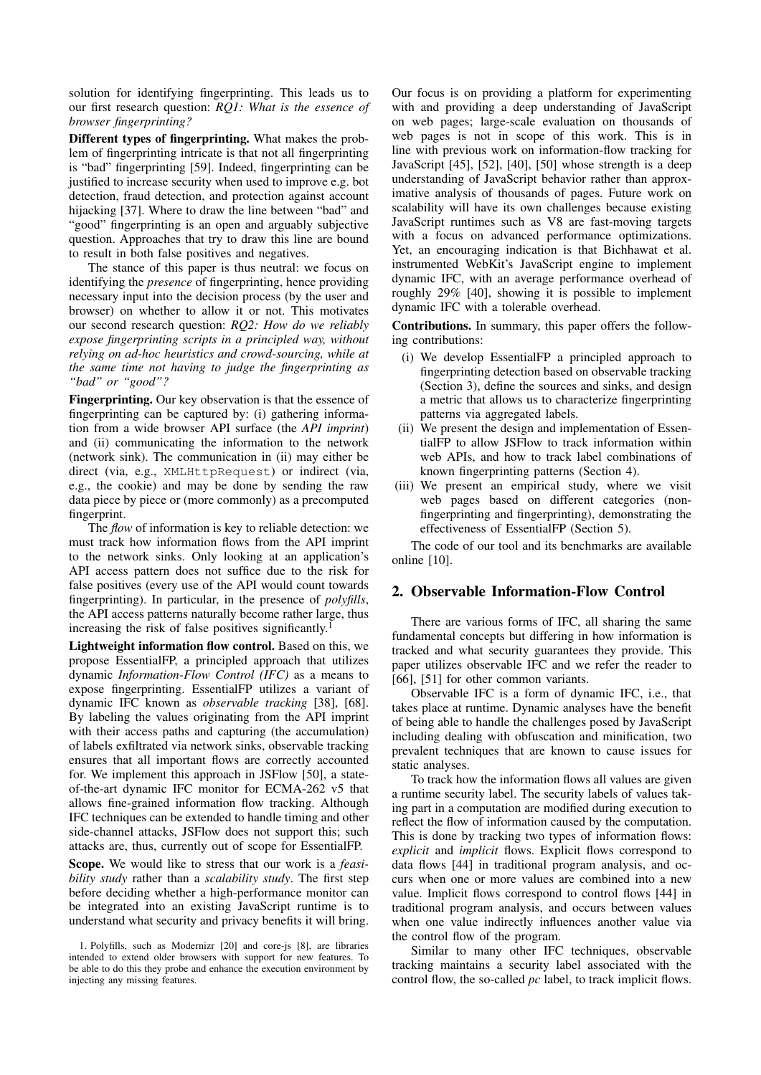solution for identifying fingerprinting. This leads us to our first research question: *RQ1: What is the essence of browser fingerprinting?*

Different types of fingerprinting. What makes the problem of fingerprinting intricate is that not all fingerprinting is "bad" fingerprinting [\[59\]](#page-11-4). Indeed, fingerprinting can be justified to increase security when used to improve e.g. bot detection, fraud detection, and protection against account hijacking [\[37\]](#page-11-21). Where to draw the line between "bad" and "good" fingerprinting is an open and arguably subjective question. Approaches that try to draw this line are bound to result in both false positives and negatives.

The stance of this paper is thus neutral: we focus on identifying the *presence* of fingerprinting, hence providing necessary input into the decision process (by the user and browser) on whether to allow it or not. This motivates our second research question: *RQ2: How do we reliably expose fingerprinting scripts in a principled way, without relying on ad-hoc heuristics and crowd-sourcing, while at the same time not having to judge the fingerprinting as "bad" or "good"?*

Fingerprinting. Our key observation is that the essence of fingerprinting can be captured by: (i) gathering information from a wide browser API surface (the *API imprint*) and (ii) communicating the information to the network (network sink). The communication in (ii) may either be direct (via, e.g., XMLHttpRequest) or indirect (via, e.g., the cookie) and may be done by sending the raw data piece by piece or (more commonly) as a precomputed fingerprint.

The *flow* of information is key to reliable detection: we must track how information flows from the API imprint to the network sinks. Only looking at an application's API access pattern does not suffice due to the risk for false positives (every use of the API would count towards fingerprinting). In particular, in the presence of *polyfills*, the API access patterns naturally become rather large, thus increasing the risk of false positives significantly.<sup>[1](#page-1-0)</sup>

Lightweight information flow control. Based on this, we propose EssentialFP, a principled approach that utilizes dynamic *Information-Flow Control (IFC)* as a means to expose fingerprinting. EssentialFP utilizes a variant of dynamic IFC known as *observable tracking* [\[38\]](#page-11-22), [\[68\]](#page-11-23). By labeling the values originating from the API imprint with their access paths and capturing (the accumulation) of labels exfiltrated via network sinks, observable tracking ensures that all important flows are correctly accounted for. We implement this approach in JSFlow [\[50\]](#page-11-24), a stateof-the-art dynamic IFC monitor for ECMA-262 v5 that allows fine-grained information flow tracking. Although IFC techniques can be extended to handle timing and other side-channel attacks, JSFlow does not support this; such attacks are, thus, currently out of scope for EssentialFP.

Scope. We would like to stress that our work is a *feasibility study* rather than a *scalability study*. The first step before deciding whether a high-performance monitor can be integrated into an existing JavaScript runtime is to understand what security and privacy benefits it will bring.

Our focus is on providing a platform for experimenting with and providing a deep understanding of JavaScript on web pages; large-scale evaluation on thousands of web pages is not in scope of this work. This is in line with previous work on information-flow tracking for JavaScript [\[45\]](#page-11-25), [\[52\]](#page-11-26), [\[40\]](#page-11-27), [\[50\]](#page-11-24) whose strength is a deep understanding of JavaScript behavior rather than approximative analysis of thousands of pages. Future work on scalability will have its own challenges because existing JavaScript runtimes such as V8 are fast-moving targets with a focus on advanced performance optimizations. Yet, an encouraging indication is that Bichhawat et al. instrumented WebKit's JavaScript engine to implement dynamic IFC, with an average performance overhead of roughly 29% [\[40\]](#page-11-27), showing it is possible to implement dynamic IFC with a tolerable overhead.

Contributions. In summary, this paper offers the following contributions:

- (i) We develop EssentialFP a principled approach to fingerprinting detection based on observable tracking (Section [3\)](#page-2-0), define the sources and sinks, and design a metric that allows us to characterize fingerprinting patterns via aggregated labels.
- (ii) We present the design and implementation of EssentialFP to allow JSFlow to track information within web APIs, and how to track label combinations of known fingerprinting patterns (Section [4\)](#page-3-0).
- (iii) We present an empirical study, where we visit web pages based on different categories (nonfingerprinting and fingerprinting), demonstrating the effectiveness of EssentialFP (Section [5\)](#page-4-0).

The code of our tool and its benchmarks are available online [\[10\]](#page-10-14).

## 2. Observable Information-Flow Control

There are various forms of IFC, all sharing the same fundamental concepts but differing in how information is tracked and what security guarantees they provide. This paper utilizes observable IFC and we refer the reader to [\[66\]](#page-11-28), [\[51\]](#page-11-29) for other common variants.

Observable IFC is a form of dynamic IFC, i.e., that takes place at runtime. Dynamic analyses have the benefit of being able to handle the challenges posed by JavaScript including dealing with obfuscation and minification, two prevalent techniques that are known to cause issues for static analyses.

To track how the information flows all values are given a runtime security label. The security labels of values taking part in a computation are modified during execution to reflect the flow of information caused by the computation. This is done by tracking two types of information flows: *explicit* and *implicit* flows. Explicit flows correspond to data flows [\[44\]](#page-11-30) in traditional program analysis, and occurs when one or more values are combined into a new value. Implicit flows correspond to control flows [\[44\]](#page-11-30) in traditional program analysis, and occurs between values when one value indirectly influences another value via the control flow of the program.

Similar to many other IFC techniques, observable tracking maintains a security label associated with the control flow, the so-called *pc* label, to track implicit flows.

<span id="page-1-0"></span><sup>1.</sup> Polyfills, such as Modernizr [\[20\]](#page-10-12) and core-js [\[8\]](#page-10-13), are libraries intended to extend older browsers with support for new features. To be able to do this they probe and enhance the execution environment by injecting any missing features.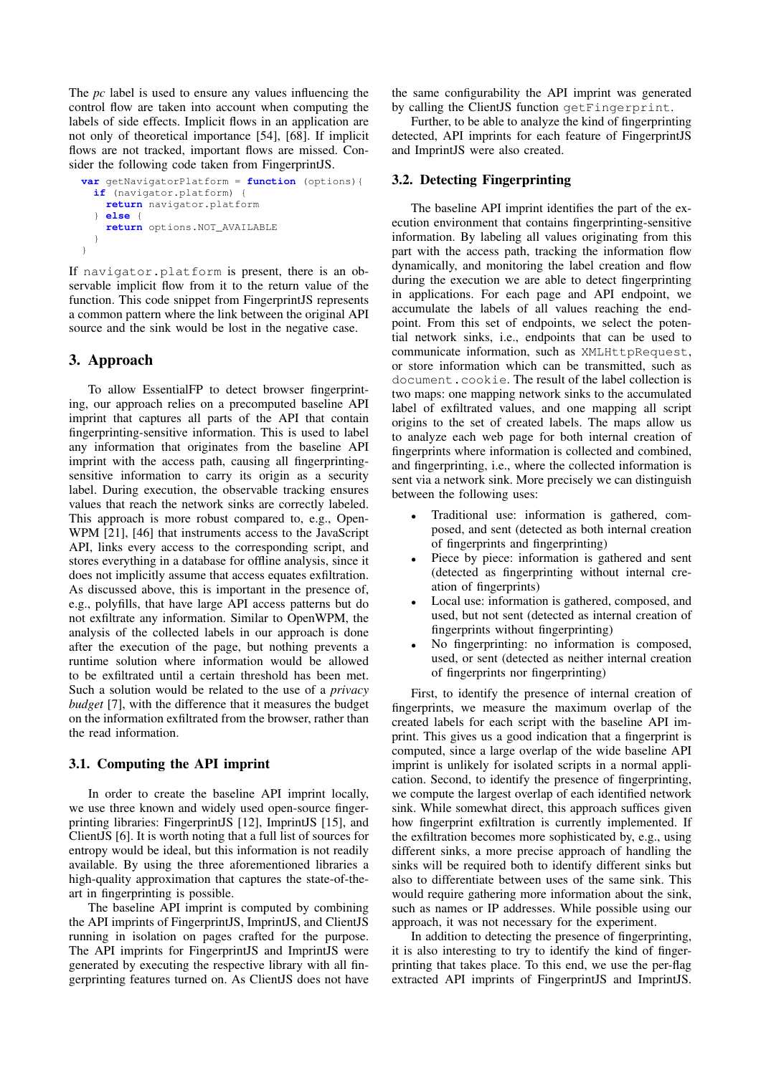The *pc* label is used to ensure any values influencing the control flow are taken into account when computing the labels of side effects. Implicit flows in an application are not only of theoretical importance [\[54\]](#page-11-31), [\[68\]](#page-11-23). If implicit flows are not tracked, important flows are missed. Consider the following code taken from FingerprintJS.

```
var getNavigatorPlatform = function (options){
 if (navigator.platform) {
   return navigator.platform
  } else {
   return options.NOT_AVAILABLE
 }
}
```
If navigator.platform is present, there is an observable implicit flow from it to the return value of the function. This code snippet from FingerprintJS represents a common pattern where the link between the original API source and the sink would be lost in the negative case.

## <span id="page-2-0"></span>3. Approach

To allow EssentialFP to detect browser fingerprinting, our approach relies on a precomputed baseline API imprint that captures all parts of the API that contain fingerprinting-sensitive information. This is used to label any information that originates from the baseline API imprint with the access path, causing all fingerprintingsensitive information to carry its origin as a security label. During execution, the observable tracking ensures values that reach the network sinks are correctly labeled. This approach is more robust compared to, e.g., Open-WPM [\[21\]](#page-10-15), [\[46\]](#page-11-0) that instruments access to the JavaScript API, links every access to the corresponding script, and stores everything in a database for offline analysis, since it does not implicitly assume that access equates exfiltration. As discussed above, this is important in the presence of, e.g., polyfills, that have large API access patterns but do not exfiltrate any information. Similar to OpenWPM, the analysis of the collected labels in our approach is done after the execution of the page, but nothing prevents a runtime solution where information would be allowed to be exfiltrated until a certain threshold has been met. Such a solution would be related to the use of a *privacy budget* [\[7\]](#page-10-16), with the difference that it measures the budget on the information exfiltrated from the browser, rather than the read information.

### 3.1. Computing the API imprint

In order to create the baseline API imprint locally, we use three known and widely used open-source fingerprinting libraries: FingerprintJS [\[12\]](#page-10-2), ImprintJS [\[15\]](#page-10-3), and ClientJS [\[6\]](#page-10-4). It is worth noting that a full list of sources for entropy would be ideal, but this information is not readily available. By using the three aforementioned libraries a high-quality approximation that captures the state-of-theart in fingerprinting is possible.

The baseline API imprint is computed by combining the API imprints of FingerprintJS, ImprintJS, and ClientJS running in isolation on pages crafted for the purpose. The API imprints for FingerprintJS and ImprintJS were generated by executing the respective library with all fingerprinting features turned on. As ClientJS does not have

the same configurability the API imprint was generated by calling the ClientJS function getFingerprint.

Further, to be able to analyze the kind of fingerprinting detected, API imprints for each feature of FingerprintJS and ImprintJS were also created.

### 3.2. Detecting Fingerprinting

The baseline API imprint identifies the part of the execution environment that contains fingerprinting-sensitive information. By labeling all values originating from this part with the access path, tracking the information flow dynamically, and monitoring the label creation and flow during the execution we are able to detect fingerprinting in applications. For each page and API endpoint, we accumulate the labels of all values reaching the endpoint. From this set of endpoints, we select the potential network sinks, i.e., endpoints that can be used to communicate information, such as XMLHttpRequest, or store information which can be transmitted, such as document.cookie. The result of the label collection is two maps: one mapping network sinks to the accumulated label of exfiltrated values, and one mapping all script origins to the set of created labels. The maps allow us to analyze each web page for both internal creation of fingerprints where information is collected and combined, and fingerprinting, i.e., where the collected information is sent via a network sink. More precisely we can distinguish between the following uses:

- Traditional use: information is gathered, composed, and sent (detected as both internal creation of fingerprints and fingerprinting)
- Piece by piece: information is gathered and sent (detected as fingerprinting without internal creation of fingerprints)
- Local use: information is gathered, composed, and used, but not sent (detected as internal creation of fingerprints without fingerprinting)
- No fingerprinting: no information is composed, used, or sent (detected as neither internal creation of fingerprints nor fingerprinting)

First, to identify the presence of internal creation of fingerprints, we measure the maximum overlap of the created labels for each script with the baseline API imprint. This gives us a good indication that a fingerprint is computed, since a large overlap of the wide baseline API imprint is unlikely for isolated scripts in a normal application. Second, to identify the presence of fingerprinting, we compute the largest overlap of each identified network sink. While somewhat direct, this approach suffices given how fingerprint exfiltration is currently implemented. If the exfiltration becomes more sophisticated by, e.g., using different sinks, a more precise approach of handling the sinks will be required both to identify different sinks but also to differentiate between uses of the same sink. This would require gathering more information about the sink, such as names or IP addresses. While possible using our approach, it was not necessary for the experiment.

In addition to detecting the presence of fingerprinting, it is also interesting to try to identify the kind of fingerprinting that takes place. To this end, we use the per-flag extracted API imprints of FingerprintJS and ImprintJS.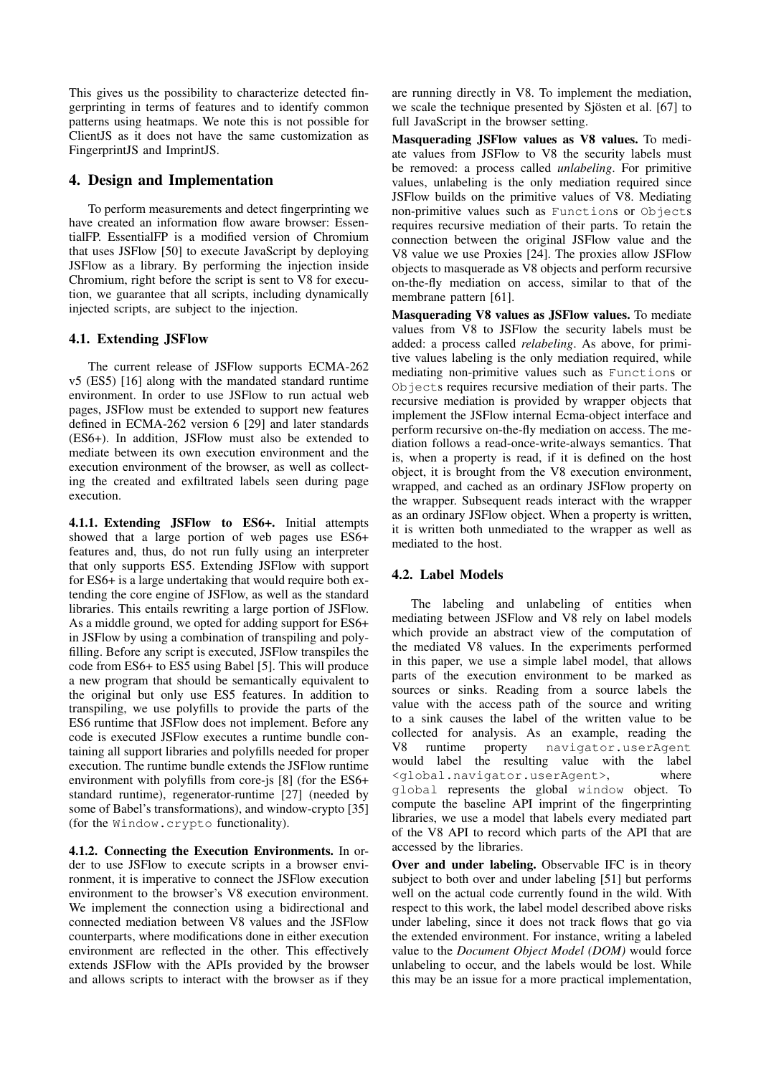This gives us the possibility to characterize detected fingerprinting in terms of features and to identify common patterns using heatmaps. We note this is not possible for ClientJS as it does not have the same customization as FingerprintJS and ImprintJS.

### <span id="page-3-0"></span>4. Design and Implementation

To perform measurements and detect fingerprinting we have created an information flow aware browser: EssentialFP. EssentialFP is a modified version of Chromium that uses JSFlow [\[50\]](#page-11-24) to execute JavaScript by deploying JSFlow as a library. By performing the injection inside Chromium, right before the script is sent to V8 for execution, we guarantee that all scripts, including dynamically injected scripts, are subject to the injection.

### 4.1. Extending JSFlow

The current release of JSFlow supports ECMA-262 v5 (ES5) [\[16\]](#page-10-17) along with the mandated standard runtime environment. In order to use JSFlow to run actual web pages, JSFlow must be extended to support new features defined in ECMA-262 version 6 [\[29\]](#page-11-32) and later standards (ES6+). In addition, JSFlow must also be extended to mediate between its own execution environment and the execution environment of the browser, as well as collecting the created and exfiltrated labels seen during page execution.

4.1.1. Extending JSFlow to ES6+. Initial attempts showed that a large portion of web pages use ES6+ features and, thus, do not run fully using an interpreter that only supports ES5. Extending JSFlow with support for ES6+ is a large undertaking that would require both extending the core engine of JSFlow, as well as the standard libraries. This entails rewriting a large portion of JSFlow. As a middle ground, we opted for adding support for ES6+ in JSFlow by using a combination of transpiling and polyfilling. Before any script is executed, JSFlow transpiles the code from ES6+ to ES5 using Babel [\[5\]](#page-10-18). This will produce a new program that should be semantically equivalent to the original but only use ES5 features. In addition to transpiling, we use polyfills to provide the parts of the ES6 runtime that JSFlow does not implement. Before any code is executed JSFlow executes a runtime bundle containing all support libraries and polyfills needed for proper execution. The runtime bundle extends the JSFlow runtime environment with polyfills from core-js [\[8\]](#page-10-13) (for the ES6+ standard runtime), regenerator-runtime [\[27\]](#page-11-33) (needed by some of Babel's transformations), and window-crypto [\[35\]](#page-11-34) (for the Window.crypto functionality).

4.1.2. Connecting the Execution Environments. In order to use JSFlow to execute scripts in a browser environment, it is imperative to connect the JSFlow execution environment to the browser's V8 execution environment. We implement the connection using a bidirectional and connected mediation between V8 values and the JSFlow counterparts, where modifications done in either execution environment are reflected in the other. This effectively extends JSFlow with the APIs provided by the browser and allows scripts to interact with the browser as if they

are running directly in V8. To implement the mediation, we scale the technique presented by Siosten et al. [\[67\]](#page-11-35) to full JavaScript in the browser setting.

Masquerading JSFlow values as V8 values. To mediate values from JSFlow to V8 the security labels must be removed: a process called *unlabeling*. For primitive values, unlabeling is the only mediation required since JSFlow builds on the primitive values of V8. Mediating non-primitive values such as Functions or Objects requires recursive mediation of their parts. To retain the connection between the original JSFlow value and the V8 value we use Proxies [\[24\]](#page-11-36). The proxies allow JSFlow objects to masquerade as V8 objects and perform recursive on-the-fly mediation on access, similar to that of the membrane pattern [\[61\]](#page-11-37).

Masquerading V8 values as JSFlow values. To mediate values from V8 to JSFlow the security labels must be added: a process called *relabeling*. As above, for primitive values labeling is the only mediation required, while mediating non-primitive values such as Functions or Objects requires recursive mediation of their parts. The recursive mediation is provided by wrapper objects that implement the JSFlow internal Ecma-object interface and perform recursive on-the-fly mediation on access. The mediation follows a read-once-write-always semantics. That is, when a property is read, if it is defined on the host object, it is brought from the V8 execution environment, wrapped, and cached as an ordinary JSFlow property on the wrapper. Subsequent reads interact with the wrapper as an ordinary JSFlow object. When a property is written, it is written both unmediated to the wrapper as well as mediated to the host.

## 4.2. Label Models

The labeling and unlabeling of entities when mediating between JSFlow and V8 rely on label models which provide an abstract view of the computation of the mediated V8 values. In the experiments performed in this paper, we use a simple label model, that allows parts of the execution environment to be marked as sources or sinks. Reading from a source labels the value with the access path of the source and writing to a sink causes the label of the written value to be collected for analysis. As an example, reading the V8 runtime property navigator.userAgent would label the resulting value with the label <global.navigator.userAgent>, where global represents the global window object. To compute the baseline API imprint of the fingerprinting libraries, we use a model that labels every mediated part of the V8 API to record which parts of the API that are accessed by the libraries.

Over and under labeling. Observable IFC is in theory subject to both over and under labeling [\[51\]](#page-11-29) but performs well on the actual code currently found in the wild. With respect to this work, the label model described above risks under labeling, since it does not track flows that go via the extended environment. For instance, writing a labeled value to the *Document Object Model (DOM)* would force unlabeling to occur, and the labels would be lost. While this may be an issue for a more practical implementation,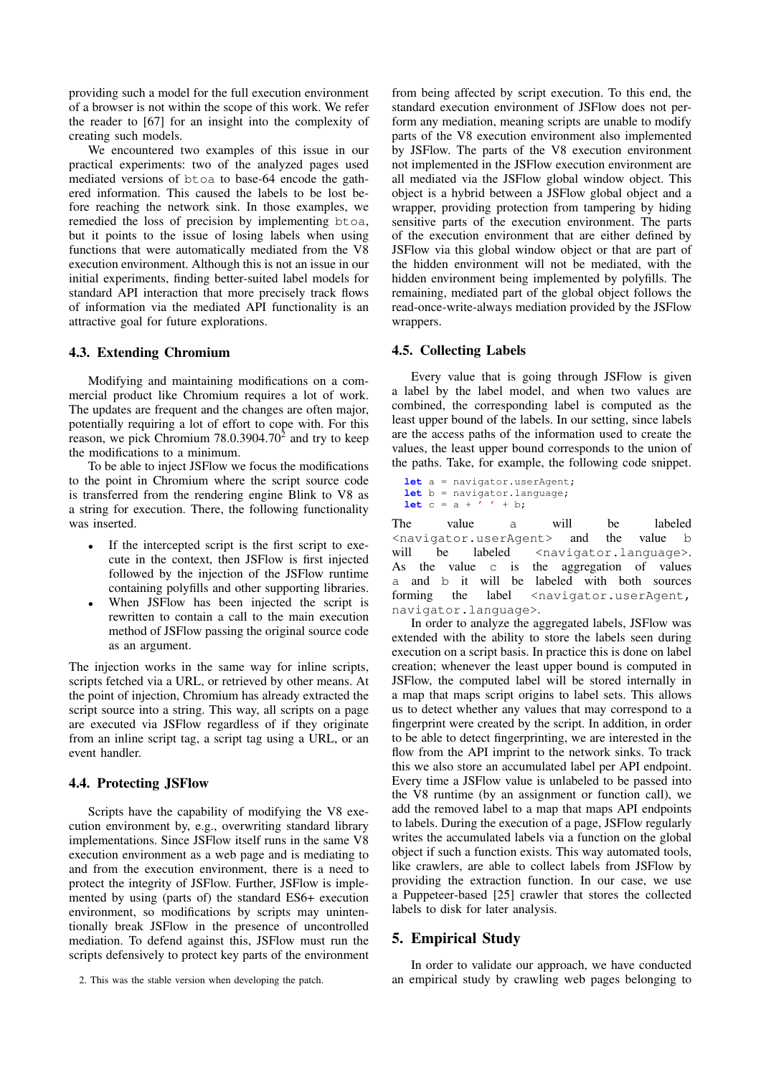providing such a model for the full execution environment of a browser is not within the scope of this work. We refer the reader to [\[67\]](#page-11-35) for an insight into the complexity of creating such models.

We encountered two examples of this issue in our practical experiments: two of the analyzed pages used mediated versions of btoa to base-64 encode the gathered information. This caused the labels to be lost before reaching the network sink. In those examples, we remedied the loss of precision by implementing btoa, but it points to the issue of losing labels when using functions that were automatically mediated from the V8 execution environment. Although this is not an issue in our initial experiments, finding better-suited label models for standard API interaction that more precisely track flows of information via the mediated API functionality is an attractive goal for future explorations.

#### 4.3. Extending Chromium

Modifying and maintaining modifications on a commercial product like Chromium requires a lot of work. The updates are frequent and the changes are often major, potentially requiring a lot of effort to cope with. For this reason, we pick Chromium  $78.0.3904.70<sup>2</sup>$  $78.0.3904.70<sup>2</sup>$  $78.0.3904.70<sup>2</sup>$  and try to keep the modifications to a minimum.

To be able to inject JSFlow we focus the modifications to the point in Chromium where the script source code is transferred from the rendering engine Blink to V8 as a string for execution. There, the following functionality was inserted.

- If the intercepted script is the first script to execute in the context, then JSFlow is first injected followed by the injection of the JSFlow runtime containing polyfills and other supporting libraries.
- When JSFlow has been injected the script is rewritten to contain a call to the main execution method of JSFlow passing the original source code as an argument.

The injection works in the same way for inline scripts, scripts fetched via a URL, or retrieved by other means. At the point of injection, Chromium has already extracted the script source into a string. This way, all scripts on a page are executed via JSFlow regardless of if they originate from an inline script tag, a script tag using a URL, or an event handler.

#### 4.4. Protecting JSFlow

Scripts have the capability of modifying the V8 execution environment by, e.g., overwriting standard library implementations. Since JSFlow itself runs in the same V8 execution environment as a web page and is mediating to and from the execution environment, there is a need to protect the integrity of JSFlow. Further, JSFlow is implemented by using (parts of) the standard ES6+ execution environment, so modifications by scripts may unintentionally break JSFlow in the presence of uncontrolled mediation. To defend against this, JSFlow must run the scripts defensively to protect key parts of the environment

from being affected by script execution. To this end, the standard execution environment of JSFlow does not perform any mediation, meaning scripts are unable to modify parts of the V8 execution environment also implemented by JSFlow. The parts of the V8 execution environment not implemented in the JSFlow execution environment are all mediated via the JSFlow global window object. This object is a hybrid between a JSFlow global object and a wrapper, providing protection from tampering by hiding sensitive parts of the execution environment. The parts of the execution environment that are either defined by JSFlow via this global window object or that are part of the hidden environment will not be mediated, with the hidden environment being implemented by polyfills. The remaining, mediated part of the global object follows the read-once-write-always mediation provided by the JSFlow wrappers.

#### 4.5. Collecting Labels

Every value that is going through JSFlow is given a label by the label model, and when two values are combined, the corresponding label is computed as the least upper bound of the labels. In our setting, since labels are the access paths of the information used to create the values, the least upper bound corresponds to the union of the paths. Take, for example, the following code snippet.

**let** a = navigator.userAgent; **let** b = navigator.language; **let**  $c = a + i + b;$ 

The value a will be labeled <navigator.userAgent> and the value b will be labeled <navigator.language>. As the value c is the aggregation of values a and b it will be labeled with both sources forming the label <navigator.userAgent, navigator.language>.

In order to analyze the aggregated labels, JSFlow was extended with the ability to store the labels seen during execution on a script basis. In practice this is done on label creation; whenever the least upper bound is computed in JSFlow, the computed label will be stored internally in a map that maps script origins to label sets. This allows us to detect whether any values that may correspond to a fingerprint were created by the script. In addition, in order to be able to detect fingerprinting, we are interested in the flow from the API imprint to the network sinks. To track this we also store an accumulated label per API endpoint. Every time a JSFlow value is unlabeled to be passed into the V8 runtime (by an assignment or function call), we add the removed label to a map that maps API endpoints to labels. During the execution of a page, JSFlow regularly writes the accumulated labels via a function on the global object if such a function exists. This way automated tools, like crawlers, are able to collect labels from JSFlow by providing the extraction function. In our case, we use a Puppeteer-based [\[25\]](#page-11-38) crawler that stores the collected labels to disk for later analysis.

### <span id="page-4-0"></span>5. Empirical Study

In order to validate our approach, we have conducted an empirical study by crawling web pages belonging to

<span id="page-4-1"></span><sup>2.</sup> This was the stable version when developing the patch.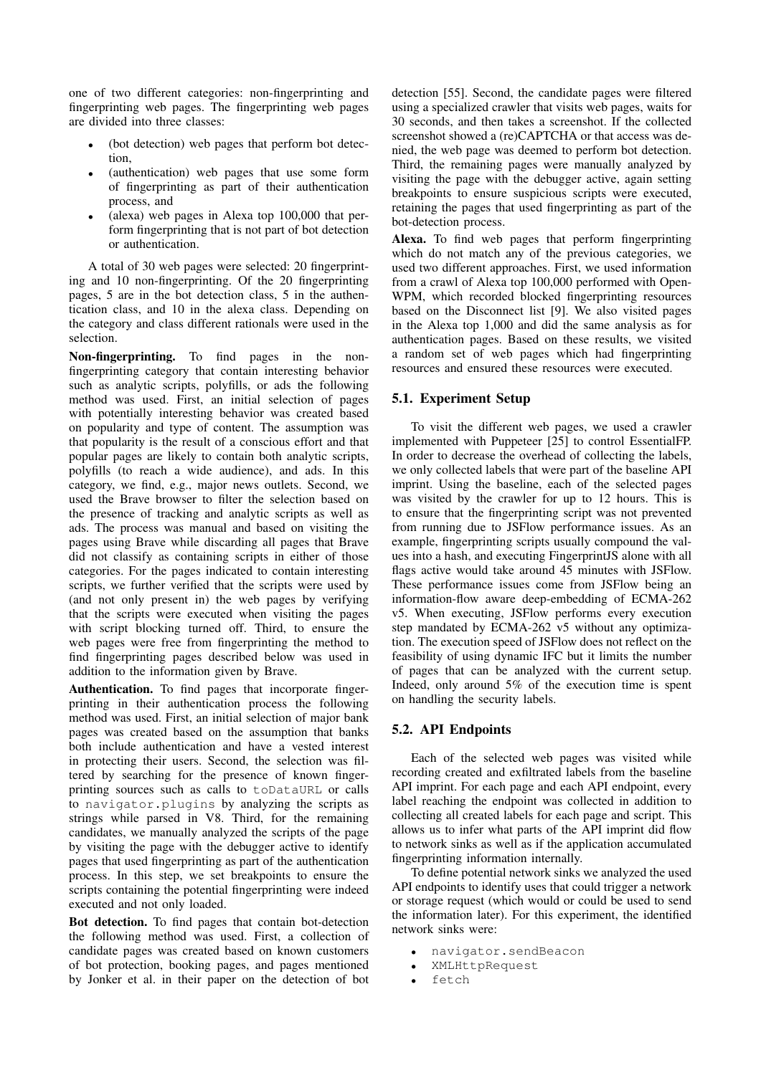one of two different categories: non-fingerprinting and fingerprinting web pages. The fingerprinting web pages are divided into three classes:

- (bot detection) web pages that perform bot detection,
- (authentication) web pages that use some form of fingerprinting as part of their authentication process, and
- (alexa) web pages in Alexa top  $100,000$  that perform fingerprinting that is not part of bot detection or authentication.

A total of 30 web pages were selected: 20 fingerprinting and 10 non-fingerprinting. Of the 20 fingerprinting pages, 5 are in the bot detection class, 5 in the authentication class, and 10 in the alexa class. Depending on the category and class different rationals were used in the selection.

Non-fingerprinting. To find pages in the nonfingerprinting category that contain interesting behavior such as analytic scripts, polyfills, or ads the following method was used. First, an initial selection of pages with potentially interesting behavior was created based on popularity and type of content. The assumption was that popularity is the result of a conscious effort and that popular pages are likely to contain both analytic scripts, polyfills (to reach a wide audience), and ads. In this category, we find, e.g., major news outlets. Second, we used the Brave browser to filter the selection based on the presence of tracking and analytic scripts as well as ads. The process was manual and based on visiting the pages using Brave while discarding all pages that Brave did not classify as containing scripts in either of those categories. For the pages indicated to contain interesting scripts, we further verified that the scripts were used by (and not only present in) the web pages by verifying that the scripts were executed when visiting the pages with script blocking turned off. Third, to ensure the web pages were free from fingerprinting the method to find fingerprinting pages described below was used in addition to the information given by Brave.

Authentication. To find pages that incorporate fingerprinting in their authentication process the following method was used. First, an initial selection of major bank pages was created based on the assumption that banks both include authentication and have a vested interest in protecting their users. Second, the selection was filtered by searching for the presence of known fingerprinting sources such as calls to toDataURL or calls to navigator.plugins by analyzing the scripts as strings while parsed in V8. Third, for the remaining candidates, we manually analyzed the scripts of the page by visiting the page with the debugger active to identify pages that used fingerprinting as part of the authentication process. In this step, we set breakpoints to ensure the scripts containing the potential fingerprinting were indeed executed and not only loaded.

Bot detection. To find pages that contain bot-detection the following method was used. First, a collection of candidate pages was created based on known customers of bot protection, booking pages, and pages mentioned by Jonker et al. in their paper on the detection of bot detection [\[55\]](#page-11-39). Second, the candidate pages were filtered using a specialized crawler that visits web pages, waits for 30 seconds, and then takes a screenshot. If the collected screenshot showed a (re)CAPTCHA or that access was denied, the web page was deemed to perform bot detection. Third, the remaining pages were manually analyzed by visiting the page with the debugger active, again setting breakpoints to ensure suspicious scripts were executed, retaining the pages that used fingerprinting as part of the bot-detection process.

Alexa. To find web pages that perform fingerprinting which do not match any of the previous categories, we used two different approaches. First, we used information from a crawl of Alexa top 100,000 performed with Open-WPM, which recorded blocked fingerprinting resources based on the Disconnect list [\[9\]](#page-10-7). We also visited pages in the Alexa top 1,000 and did the same analysis as for authentication pages. Based on these results, we visited a random set of web pages which had fingerprinting resources and ensured these resources were executed.

## 5.1. Experiment Setup

To visit the different web pages, we used a crawler implemented with Puppeteer [\[25\]](#page-11-38) to control EssentialFP. In order to decrease the overhead of collecting the labels, we only collected labels that were part of the baseline API imprint. Using the baseline, each of the selected pages was visited by the crawler for up to 12 hours. This is to ensure that the fingerprinting script was not prevented from running due to JSFlow performance issues. As an example, fingerprinting scripts usually compound the values into a hash, and executing FingerprintJS alone with all flags active would take around 45 minutes with JSFlow. These performance issues come from JSFlow being an information-flow aware deep-embedding of ECMA-262 v5. When executing, JSFlow performs every execution step mandated by ECMA-262 v5 without any optimization. The execution speed of JSFlow does not reflect on the feasibility of using dynamic IFC but it limits the number of pages that can be analyzed with the current setup. Indeed, only around 5% of the execution time is spent on handling the security labels.

### 5.2. API Endpoints

Each of the selected web pages was visited while recording created and exfiltrated labels from the baseline API imprint. For each page and each API endpoint, every label reaching the endpoint was collected in addition to collecting all created labels for each page and script. This allows us to infer what parts of the API imprint did flow to network sinks as well as if the application accumulated fingerprinting information internally.

To define potential network sinks we analyzed the used API endpoints to identify uses that could trigger a network or storage request (which would or could be used to send the information later). For this experiment, the identified network sinks were:

- navigator.sendBeacon
- XMLHttpRequest
- fetch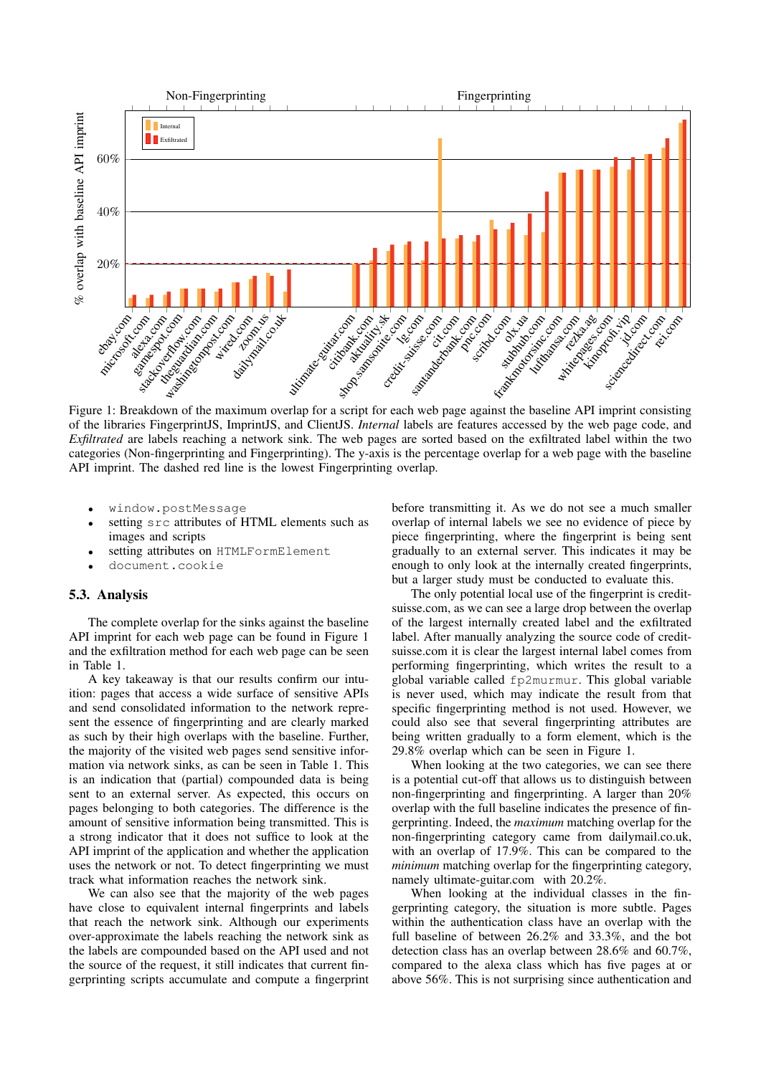<span id="page-6-0"></span>

Figure 1: Breakdown of the maximum overlap for a script for each web page against the baseline API imprint consisting of the libraries FingerprintJS, ImprintJS, and ClientJS. *Internal* labels are features accessed by the web page code, and *Exfiltrated* are labels reaching a network sink. The web pages are sorted based on the exfiltrated label within the two categories (Non-fingerprinting and Fingerprinting). The y-axis is the percentage overlap for a web page with the baseline API imprint. The dashed red line is the lowest Fingerprinting overlap.

- window.postMessage
- setting src attributes of HTML elements such as images and scripts
- setting attributes on HTMLFormElement
- document.cookie

### 5.3. Analysis

The complete overlap for the sinks against the baseline API imprint for each web page can be found in Figure [1](#page-6-0) and the exfiltration method for each web page can be seen in Table [1.](#page-7-0)

A key takeaway is that our results confirm our intuition: pages that access a wide surface of sensitive APIs and send consolidated information to the network represent the essence of fingerprinting and are clearly marked as such by their high overlaps with the baseline. Further, the majority of the visited web pages send sensitive information via network sinks, as can be seen in Table [1.](#page-7-0) This is an indication that (partial) compounded data is being sent to an external server. As expected, this occurs on pages belonging to both categories. The difference is the amount of sensitive information being transmitted. This is a strong indicator that it does not suffice to look at the API imprint of the application and whether the application uses the network or not. To detect fingerprinting we must track what information reaches the network sink.

We can also see that the majority of the web pages have close to equivalent internal fingerprints and labels that reach the network sink. Although our experiments over-approximate the labels reaching the network sink as the labels are compounded based on the API used and not the source of the request, it still indicates that current fingerprinting scripts accumulate and compute a fingerprint

before transmitting it. As we do not see a much smaller overlap of internal labels we see no evidence of piece by piece fingerprinting, where the fingerprint is being sent gradually to an external server. This indicates it may be enough to only look at the internally created fingerprints, but a larger study must be conducted to evaluate this.

The only potential local use of the fingerprint is creditsuisse.com, as we can see a large drop between the overlap of the largest internally created label and the exfiltrated label. After manually analyzing the source code of creditsuisse.com it is clear the largest internal label comes from performing fingerprinting, which writes the result to a global variable called fp2murmur. This global variable is never used, which may indicate the result from that specific fingerprinting method is not used. However, we could also see that several fingerprinting attributes are being written gradually to a form element, which is the 29.8% overlap which can be seen in Figure [1.](#page-6-0)

When looking at the two categories, we can see there is a potential cut-off that allows us to distinguish between non-fingerprinting and fingerprinting. A larger than 20% overlap with the full baseline indicates the presence of fingerprinting. Indeed, the *maximum* matching overlap for the non-fingerprinting category came from dailymail.co.uk, with an overlap of 17.9%. This can be compared to the *minimum* matching overlap for the fingerprinting category, namely ultimate-guitar.com with 20.2%.

When looking at the individual classes in the fingerprinting category, the situation is more subtle. Pages within the authentication class have an overlap with the full baseline of between 26.2% and 33.3%, and the bot detection class has an overlap between 28.6% and 60.7%, compared to the alexa class which has five pages at or above 56%. This is not surprising since authentication and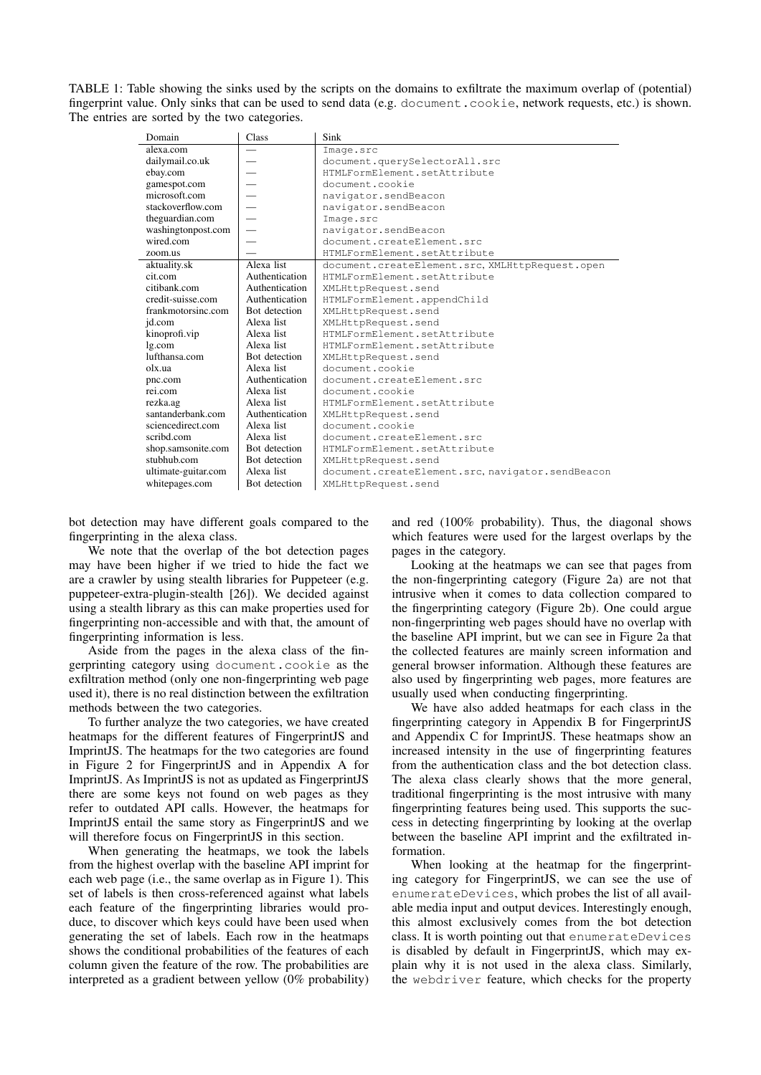<span id="page-7-0"></span>TABLE 1: Table showing the sinks used by the scripts on the domains to exfiltrate the maximum overlap of (potential) fingerprint value. Only sinks that can be used to send data (e.g. document.cookie, network requests, etc.) is shown. The entries are sorted by the two categories.

| Domain              | Class                    | Sink                                             |
|---------------------|--------------------------|--------------------------------------------------|
| alexa.com           |                          | Image.src                                        |
| dailymail.co.uk     |                          | document.querySelectorAll.src                    |
| ebay.com            | $\overline{\phantom{0}}$ | HTMLFormElement.setAttribute                     |
| gamespot.com        |                          | document.cookie                                  |
| microsoft.com       |                          | navigator.sendBeacon                             |
| stackoverflow.com   |                          | navigator.sendBeacon                             |
| theguardian.com     |                          | Image.src                                        |
| washingtonpost.com  | $\overline{\phantom{0}}$ | navigator.sendBeacon                             |
| wired.com           |                          | document.createElement.src                       |
| zoom.us             |                          | HTMLFormElement.setAttribute                     |
| aktuality.sk        | Alexa list               | document.createElement.src, XMLHttpRequest.open  |
| cit.com             | Authentication           | HTMLFormElement.setAttribute                     |
| citibank com        | Authentication           | XMLHttpRequest.send                              |
| credit-suisse.com   | Authentication           | HTMLFormElement.appendChild                      |
| frankmotorsinc.com  | Bot detection            | XMLHttpRequest.send                              |
| id.com              | Alexa list               | XMLHttpRequest.send                              |
| kinoprofi.vip       | Alexa list               | HTMLFormElement.setAttribute                     |
| lg.com              | Alexa list               | HTMLFormElement.setAttribute                     |
| lufthansa.com       | Bot detection            | XMLHttpRequest.send                              |
| olx.ua              | Alexa list               | document.cookie                                  |
| pnc.com             | Authentication           | document.createElement.src                       |
| rei.com             | Alexa list               | document.cookie                                  |
| rezka.ag            | Alexa list               | HTMLFormElement.setAttribute                     |
| santanderbank.com   | Authentication           | XMLHttpRequest.send                              |
| sciencedirect.com   | Alexa list               | document.cookie                                  |
| scribd.com          | Alexa list               | document.createElement.src                       |
| shop.samsonite.com  | Bot detection            | HTMLFormElement.setAttribute                     |
| stubhub.com         | Bot detection            | XMLHttpRequest.send                              |
| ultimate-guitar.com | Alexa list               | document.createElement.src, navigator.sendBeacon |
| whitepages.com      | Bot detection            | XMLHttpRequest.send                              |

bot detection may have different goals compared to the fingerprinting in the alexa class.

We note that the overlap of the bot detection pages may have been higher if we tried to hide the fact we are a crawler by using stealth libraries for Puppeteer (e.g. puppeteer-extra-plugin-stealth [\[26\]](#page-11-40)). We decided against using a stealth library as this can make properties used for fingerprinting non-accessible and with that, the amount of fingerprinting information is less.

Aside from the pages in the alexa class of the fingerprinting category using document.cookie as the exfiltration method (only one non-fingerprinting web page used it), there is no real distinction between the exfiltration methods between the two categories.

To further analyze the two categories, we have created heatmaps for the different features of FingerprintJS and ImprintJS. The heatmaps for the two categories are found in Figure [2](#page-9-0) for FingerprintJS and in Appendix [A](#page-12-0) for ImprintJS. As ImprintJS is not as updated as FingerprintJS there are some keys not found on web pages as they refer to outdated API calls. However, the heatmaps for ImprintJS entail the same story as FingerprintJS and we will therefore focus on FingerprintJS in this section.

When generating the heatmaps, we took the labels from the highest overlap with the baseline API imprint for each web page (i.e., the same overlap as in Figure [1\)](#page-6-0). This set of labels is then cross-referenced against what labels each feature of the fingerprinting libraries would produce, to discover which keys could have been used when generating the set of labels. Each row in the heatmaps shows the conditional probabilities of the features of each column given the feature of the row. The probabilities are interpreted as a gradient between yellow (0% probability) and red (100% probability). Thus, the diagonal shows which features were used for the largest overlaps by the pages in the category.

Looking at the heatmaps we can see that pages from the non-fingerprinting category (Figure [2a\)](#page-9-0) are not that intrusive when it comes to data collection compared to the fingerprinting category (Figure [2b\)](#page-9-0). One could argue non-fingerprinting web pages should have no overlap with the baseline API imprint, but we can see in Figure [2a](#page-9-0) that the collected features are mainly screen information and general browser information. Although these features are also used by fingerprinting web pages, more features are usually used when conducting fingerprinting.

We have also added heatmaps for each class in the fingerprinting category in Appendix [B](#page-13-0) for FingerprintJS and Appendix [C](#page-15-0) for ImprintJS. These heatmaps show an increased intensity in the use of fingerprinting features from the authentication class and the bot detection class. The alexa class clearly shows that the more general, traditional fingerprinting is the most intrusive with many fingerprinting features being used. This supports the success in detecting fingerprinting by looking at the overlap between the baseline API imprint and the exfiltrated information.

When looking at the heatmap for the fingerprinting category for FingerprintJS, we can see the use of enumerateDevices, which probes the list of all available media input and output devices. Interestingly enough, this almost exclusively comes from the bot detection class. It is worth pointing out that enumerateDevices is disabled by default in FingerprintJS, which may explain why it is not used in the alexa class. Similarly, the webdriver feature, which checks for the property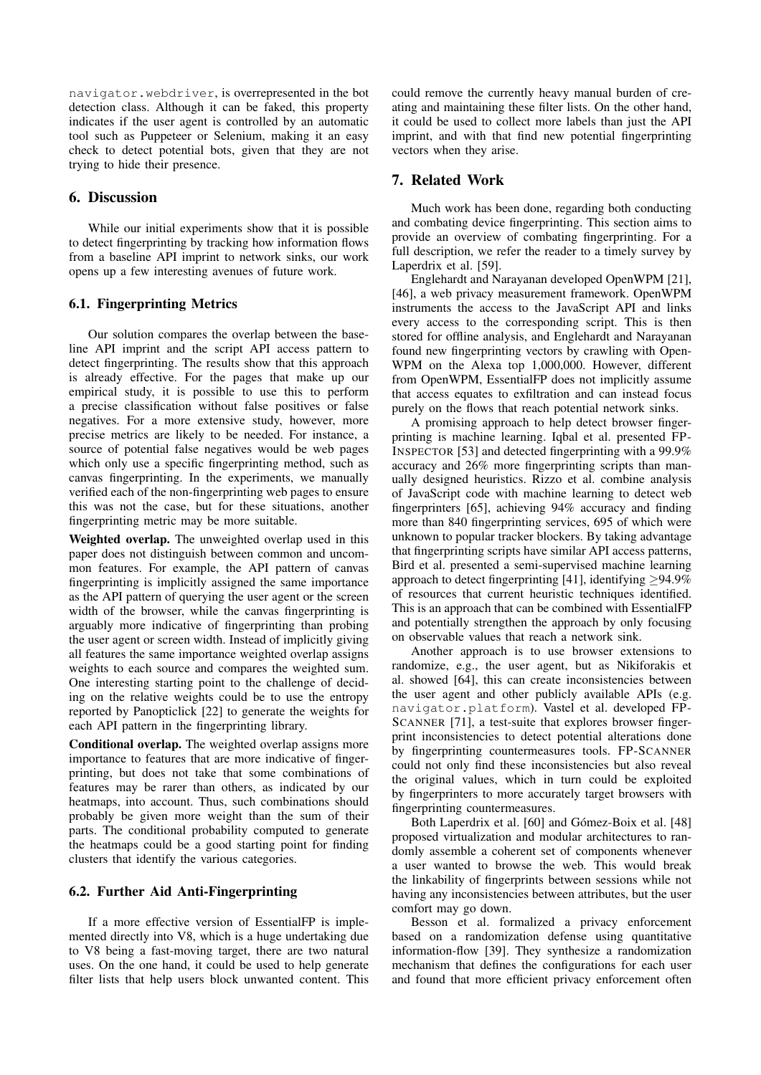navigator.webdriver, is overrepresented in the bot detection class. Although it can be faked, this property indicates if the user agent is controlled by an automatic tool such as Puppeteer or Selenium, making it an easy check to detect potential bots, given that they are not trying to hide their presence.

### 6. Discussion

While our initial experiments show that it is possible to detect fingerprinting by tracking how information flows from a baseline API imprint to network sinks, our work opens up a few interesting avenues of future work.

#### 6.1. Fingerprinting Metrics

Our solution compares the overlap between the baseline API imprint and the script API access pattern to detect fingerprinting. The results show that this approach is already effective. For the pages that make up our empirical study, it is possible to use this to perform a precise classification without false positives or false negatives. For a more extensive study, however, more precise metrics are likely to be needed. For instance, a source of potential false negatives would be web pages which only use a specific fingerprinting method, such as canvas fingerprinting. In the experiments, we manually verified each of the non-fingerprinting web pages to ensure this was not the case, but for these situations, another fingerprinting metric may be more suitable.

Weighted overlap. The unweighted overlap used in this paper does not distinguish between common and uncommon features. For example, the API pattern of canvas fingerprinting is implicitly assigned the same importance as the API pattern of querying the user agent or the screen width of the browser, while the canvas fingerprinting is arguably more indicative of fingerprinting than probing the user agent or screen width. Instead of implicitly giving all features the same importance weighted overlap assigns weights to each source and compares the weighted sum. One interesting starting point to the challenge of deciding on the relative weights could be to use the entropy reported by Panopticlick [\[22\]](#page-11-41) to generate the weights for each API pattern in the fingerprinting library.

Conditional overlap. The weighted overlap assigns more importance to features that are more indicative of fingerprinting, but does not take that some combinations of features may be rarer than others, as indicated by our heatmaps, into account. Thus, such combinations should probably be given more weight than the sum of their parts. The conditional probability computed to generate the heatmaps could be a good starting point for finding clusters that identify the various categories.

### 6.2. Further Aid Anti-Fingerprinting

If a more effective version of EssentialFP is implemented directly into V8, which is a huge undertaking due to V8 being a fast-moving target, there are two natural uses. On the one hand, it could be used to help generate filter lists that help users block unwanted content. This could remove the currently heavy manual burden of creating and maintaining these filter lists. On the other hand, it could be used to collect more labels than just the API imprint, and with that find new potential fingerprinting vectors when they arise.

### <span id="page-8-0"></span>7. Related Work

Much work has been done, regarding both conducting and combating device fingerprinting. This section aims to provide an overview of combating fingerprinting. For a full description, we refer the reader to a timely survey by Laperdrix et al. [\[59\]](#page-11-4).

Englehardt and Narayanan developed OpenWPM [\[21\]](#page-10-15), [\[46\]](#page-11-0), a web privacy measurement framework. OpenWPM instruments the access to the JavaScript API and links every access to the corresponding script. This is then stored for offline analysis, and Englehardt and Narayanan found new fingerprinting vectors by crawling with Open-WPM on the Alexa top 1,000,000. However, different from OpenWPM, EssentialFP does not implicitly assume that access equates to exfiltration and can instead focus purely on the flows that reach potential network sinks.

A promising approach to help detect browser fingerprinting is machine learning. Iqbal et al. presented FP-INSPECTOR [\[53\]](#page-11-42) and detected fingerprinting with a 99.9% accuracy and 26% more fingerprinting scripts than manually designed heuristics. Rizzo et al. combine analysis of JavaScript code with machine learning to detect web fingerprinters [\[65\]](#page-11-43), achieving 94% accuracy and finding more than 840 fingerprinting services, 695 of which were unknown to popular tracker blockers. By taking advantage that fingerprinting scripts have similar API access patterns, Bird et al. presented a semi-supervised machine learning approach to detect fingerprinting [\[41\]](#page-11-44), identifying  $\geq$ 94.9% of resources that current heuristic techniques identified. This is an approach that can be combined with EssentialFP and potentially strengthen the approach by only focusing on observable values that reach a network sink.

Another approach is to use browser extensions to randomize, e.g., the user agent, but as Nikiforakis et al. showed [\[64\]](#page-11-45), this can create inconsistencies between the user agent and other publicly available APIs (e.g. navigator.platform). Vastel et al. developed FP-SCANNER [\[71\]](#page-11-46), a test-suite that explores browser fingerprint inconsistencies to detect potential alterations done by fingerprinting countermeasures tools. FP-SCANNER could not only find these inconsistencies but also reveal the original values, which in turn could be exploited by fingerprinters to more accurately target browsers with fingerprinting countermeasures.

Both Laperdrix et al. [\[60\]](#page-11-19) and Gómez-Boix et al. [\[48\]](#page-11-20) proposed virtualization and modular architectures to randomly assemble a coherent set of components whenever a user wanted to browse the web. This would break the linkability of fingerprints between sessions while not having any inconsistencies between attributes, but the user comfort may go down.

Besson et al. formalized a privacy enforcement based on a randomization defense using quantitative information-flow [\[39\]](#page-11-47). They synthesize a randomization mechanism that defines the configurations for each user and found that more efficient privacy enforcement often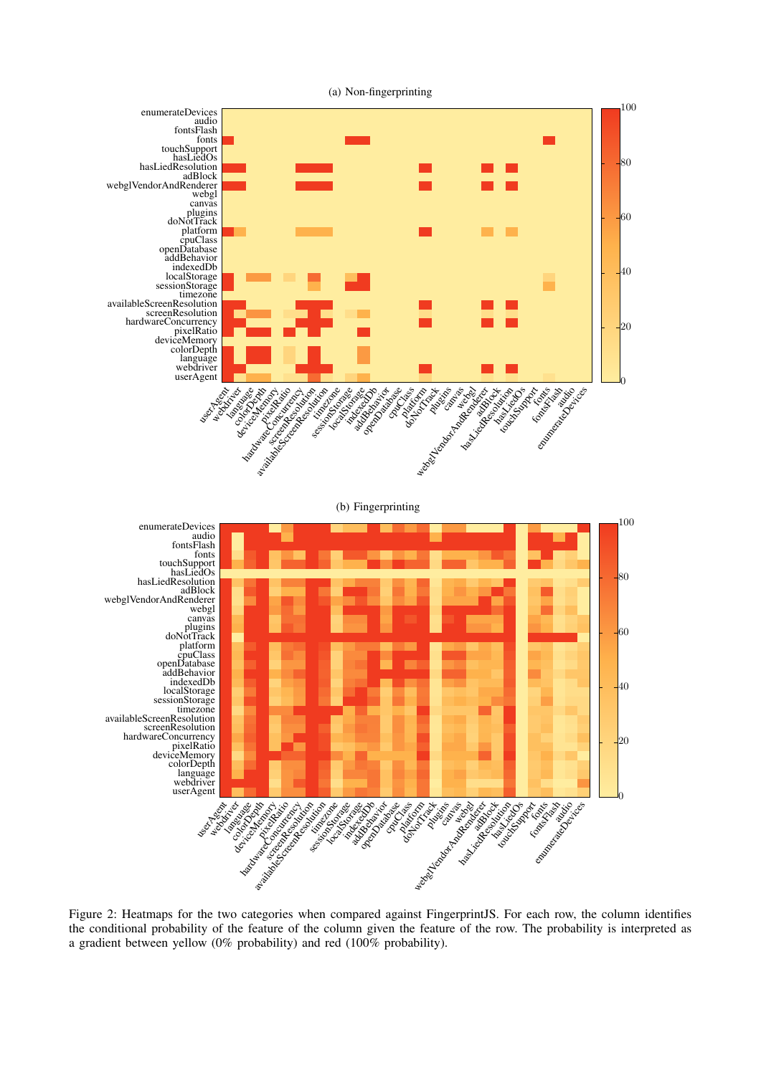<span id="page-9-0"></span>

Figure 2: Heatmaps for the two categories when compared against FingerprintJS. For each row, the column identifies the conditional probability of the feature of the column given the feature of the row. The probability is interpreted as a gradient between yellow (0% probability) and red (100% probability).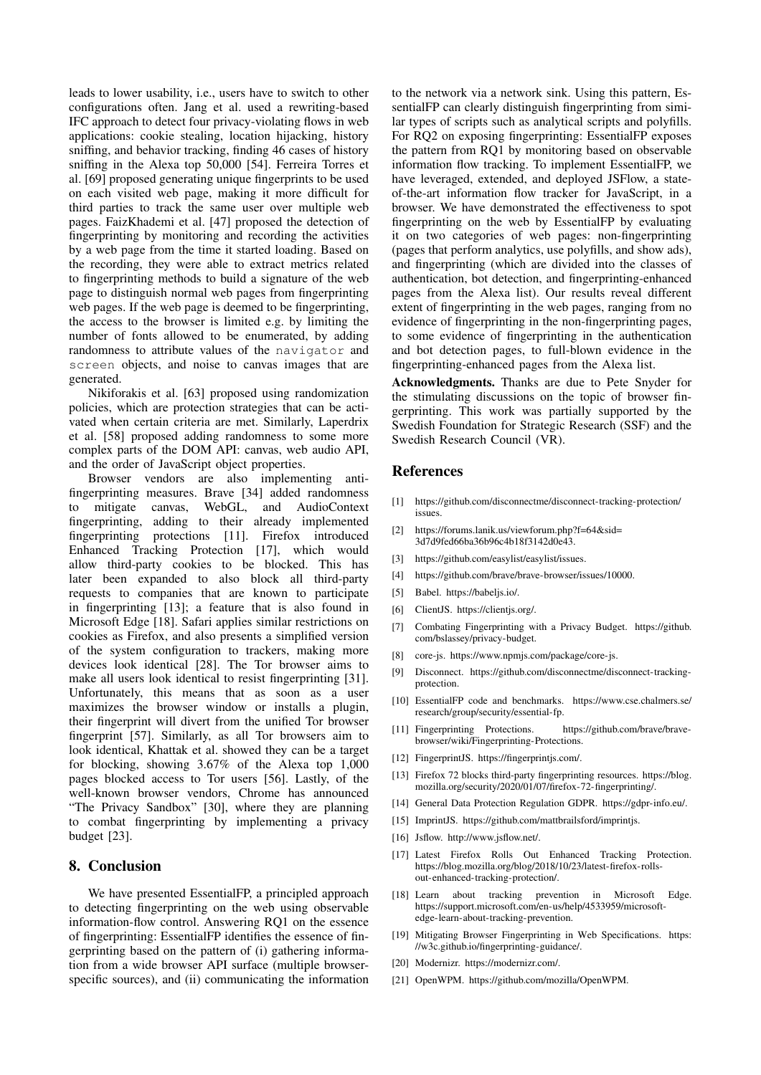leads to lower usability, i.e., users have to switch to other configurations often. Jang et al. used a rewriting-based IFC approach to detect four privacy-violating flows in web applications: cookie stealing, location hijacking, history sniffing, and behavior tracking, finding 46 cases of history sniffing in the Alexa top 50,000 [\[54\]](#page-11-31). Ferreira Torres et al. [\[69\]](#page-11-17) proposed generating unique fingerprints to be used on each visited web page, making it more difficult for third parties to track the same user over multiple web pages. FaizKhademi et al. [\[47\]](#page-11-18) proposed the detection of fingerprinting by monitoring and recording the activities by a web page from the time it started loading. Based on the recording, they were able to extract metrics related to fingerprinting methods to build a signature of the web page to distinguish normal web pages from fingerprinting web pages. If the web page is deemed to be fingerprinting, the access to the browser is limited e.g. by limiting the number of fonts allowed to be enumerated, by adding randomness to attribute values of the navigator and screen objects, and noise to canvas images that are generated.

Nikiforakis et al. [\[63\]](#page-11-14) proposed using randomization policies, which are protection strategies that can be activated when certain criteria are met. Similarly, Laperdrix et al. [\[58\]](#page-11-15) proposed adding randomness to some more complex parts of the DOM API: canvas, web audio API, and the order of JavaScript object properties.

Browser vendors are also implementing antifingerprinting measures. Brave [\[34\]](#page-11-10) added randomness to mitigate canvas, WebGL, and AudioContext fingerprinting, adding to their already implemented fingerprinting protections [\[11\]](#page-10-19). Firefox introduced Enhanced Tracking Protection [\[17\]](#page-10-20), which would allow third-party cookies to be blocked. This has later been expanded to also block all third-party requests to companies that are known to participate in fingerprinting [\[13\]](#page-10-6); a feature that is also found in Microsoft Edge [\[18\]](#page-10-5). Safari applies similar restrictions on cookies as Firefox, and also presents a simplified version of the system configuration to trackers, making more devices look identical [\[28\]](#page-11-12). The Tor browser aims to make all users look identical to resist fingerprinting [\[31\]](#page-11-48). Unfortunately, this means that as soon as a user maximizes the browser window or installs a plugin, their fingerprint will divert from the unified Tor browser fingerprint [\[57\]](#page-11-49). Similarly, as all Tor browsers aim to look identical, Khattak et al. showed they can be a target for blocking, showing 3.67% of the Alexa top 1,000 pages blocked access to Tor users [\[56\]](#page-11-50). Lastly, of the well-known browser vendors, Chrome has announced "The Privacy Sandbox" [\[30\]](#page-11-51), where they are planning to combat fingerprinting by implementing a privacy budget [\[23\]](#page-11-11).

### 8. Conclusion

We have presented EssentialFP, a principled approach to detecting fingerprinting on the web using observable information-flow control. Answering RQ1 on the essence of fingerprinting: EssentialFP identifies the essence of fingerprinting based on the pattern of (i) gathering information from a wide browser API surface (multiple browserspecific sources), and (ii) communicating the information to the network via a network sink. Using this pattern, EssentialFP can clearly distinguish fingerprinting from similar types of scripts such as analytical scripts and polyfills. For RQ2 on exposing fingerprinting: EssentialFP exposes the pattern from RQ1 by monitoring based on observable information flow tracking. To implement EssentialFP, we have leveraged, extended, and deployed JSFlow, a stateof-the-art information flow tracker for JavaScript, in a browser. We have demonstrated the effectiveness to spot fingerprinting on the web by EssentialFP by evaluating it on two categories of web pages: non-fingerprinting (pages that perform analytics, use polyfills, and show ads), and fingerprinting (which are divided into the classes of authentication, bot detection, and fingerprinting-enhanced pages from the Alexa list). Our results reveal different extent of fingerprinting in the web pages, ranging from no evidence of fingerprinting in the non-fingerprinting pages, to some evidence of fingerprinting in the authentication and bot detection pages, to full-blown evidence in the fingerprinting-enhanced pages from the Alexa list.

Acknowledgments. Thanks are due to Pete Snyder for the stimulating discussions on the topic of browser fingerprinting. This work was partially supported by the Swedish Foundation for Strategic Research (SSF) and the Swedish Research Council (VR).

### References

- <span id="page-10-8"></span>[1] [https://github.com/disconnectme/disconnect-tracking-protection/](https://github.com/disconnectme/disconnect-tracking-protection/issues) [issues.](https://github.com/disconnectme/disconnect-tracking-protection/issues)
- <span id="page-10-9"></span>[2] [https://forums.lanik.us/viewforum.php?f=64&sid=](https://forums.lanik.us/viewforum.php?f=64&sid=3d7d9fed66ba36b96c4b18f3142d0e43) [3d7d9fed66ba36b96c4b18f3142d0e43.](https://forums.lanik.us/viewforum.php?f=64&sid=3d7d9fed66ba36b96c4b18f3142d0e43)
- <span id="page-10-10"></span>[3] [https://github.com/easylist/easylist/issues.](https://github.com/easylist/easylist/issues)
- <span id="page-10-11"></span>[4] [https://github.com/brave/brave-browser/issues/10000.](https://github.com/brave/brave-browser/issues/10000)
- <span id="page-10-18"></span>[5] Babel. [https://babeljs.io/.](https://babeljs.io/)
- <span id="page-10-4"></span>[6] ClientJS. https://clientis.org/.
- <span id="page-10-16"></span>Combating Fingerprinting with a Privacy Budget. [https://github.](https://github.com/bslassey/privacy-budget) [com/bslassey/privacy-budget.](https://github.com/bslassey/privacy-budget)
- <span id="page-10-13"></span>core-js. [https://www.npmjs.com/package/core-js.](https://www.npmjs.com/package/core-js)
- <span id="page-10-7"></span>[9] Disconnect. [https://github.com/disconnectme/disconnect-tracking](https://github.com/disconnectme/disconnect-tracking-protection)[protection.](https://github.com/disconnectme/disconnect-tracking-protection)
- <span id="page-10-14"></span>[10] EssentialFP code and benchmarks. [https://www.cse.chalmers.se/](https://www.cse.chalmers.se/research/group/security/essential-fp) [research/group/security/essential-fp.](https://www.cse.chalmers.se/research/group/security/essential-fp)
- <span id="page-10-19"></span>[11] Fingerprinting Protections. [https://github.com/brave/brave](https://github.com/brave/brave-browser/wiki/Fingerprinting-Protections)[browser/wiki/Fingerprinting-Protections.](https://github.com/brave/brave-browser/wiki/Fingerprinting-Protections)
- <span id="page-10-2"></span>[12] FingerprintJS. [https://fingerprintjs.com/.](https://fingerprintjs.com/)
- <span id="page-10-6"></span>[13] Firefox 72 blocks third-party fingerprinting resources. [https://blog.](https://blog.mozilla.org/security/2020/01/07/firefox-72-fingerprinting/) [mozilla.org/security/2020/01/07/firefox-72-fingerprinting/.](https://blog.mozilla.org/security/2020/01/07/firefox-72-fingerprinting/)
- <span id="page-10-1"></span>[14] General Data Protection Regulation GDPR. [https://gdpr-info.eu/.](https://gdpr-info.eu/)
- <span id="page-10-3"></span>[15] ImprintJS. [https://github.com/mattbrailsford/imprintjs.](https://github.com/mattbrailsford/imprintjs)
- <span id="page-10-17"></span>[16] Jsflow. [http://www.jsflow.net/.](http://www.jsflow.net/)
- <span id="page-10-20"></span>[17] Latest Firefox Rolls Out Enhanced Tracking Protection. [https://blog.mozilla.org/blog/2018/10/23/latest-firefox-rolls](https://blog.mozilla.org/blog/2018/10/23/latest-firefox-rolls-out-enhanced-tracking-protection/)[out-enhanced-tracking-protection/.](https://blog.mozilla.org/blog/2018/10/23/latest-firefox-rolls-out-enhanced-tracking-protection/)
- <span id="page-10-5"></span>[18] Learn about tracking prevention in Microsoft Edge. [https://support.microsoft.com/en-us/help/4533959/microsoft](https://support.microsoft.com/en-us/help/4533959/microsoft-edge-learn-about-tracking-prevention)[edge-learn-about-tracking-prevention.](https://support.microsoft.com/en-us/help/4533959/microsoft-edge-learn-about-tracking-prevention)
- <span id="page-10-0"></span>[19] Mitigating Browser Fingerprinting in Web Specifications. [https:](https://w3c.github.io/fingerprinting-guidance/) [//w3c.github.io/fingerprinting-guidance/.](https://w3c.github.io/fingerprinting-guidance/)
- <span id="page-10-12"></span>[20] Modernizr. [https://modernizr.com/.](https://modernizr.com/)
- <span id="page-10-15"></span>[21] OpenWPM. [https://github.com/mozilla/OpenWPM.](https://github.com/mozilla/OpenWPM)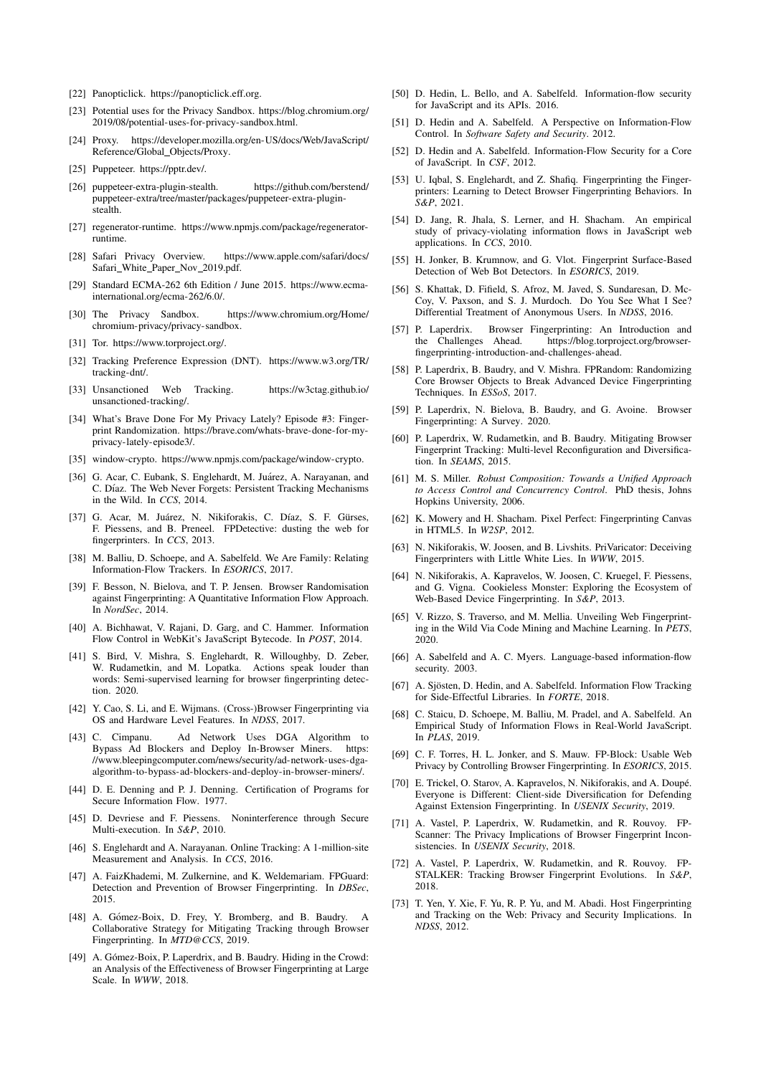- <span id="page-11-41"></span>[22] Panopticlick. [https://panopticlick.eff.org.](https://panopticlick.eff.org)
- <span id="page-11-11"></span>[23] Potential uses for the Privacy Sandbox. [https://blog.chromium.org/](https://blog.chromium.org/2019/08/potential-uses-for-privacy-sandbox.html) [2019/08/potential-uses-for-privacy-sandbox.html.](https://blog.chromium.org/2019/08/potential-uses-for-privacy-sandbox.html)
- <span id="page-11-36"></span>[24] Proxy. [https://developer.mozilla.org/en-US/docs/Web/JavaScript/](https://developer.mozilla.org/en-US/docs/Web/JavaScript/Reference/Global_Objects/Proxy) [Reference/Global](https://developer.mozilla.org/en-US/docs/Web/JavaScript/Reference/Global_Objects/Proxy) Objects/Proxy.
- <span id="page-11-38"></span>[25] Puppeteer. [https://pptr.dev/.](https://pptr.dev/)
- <span id="page-11-40"></span>[26] puppeteer-extra-plugin-stealth. [https://github.com/berstend/](https://github.com/berstend/puppeteer-extra/tree/master/packages/puppeteer-extra-plugin-stealth) [puppeteer-extra/tree/master/packages/puppeteer-extra-plugin](https://github.com/berstend/puppeteer-extra/tree/master/packages/puppeteer-extra-plugin-stealth)[stealth.](https://github.com/berstend/puppeteer-extra/tree/master/packages/puppeteer-extra-plugin-stealth)
- <span id="page-11-33"></span>[27] regenerator-runtime. [https://www.npmjs.com/package/regenerator](https://www.npmjs.com/package/regenerator-runtime)[runtime.](https://www.npmjs.com/package/regenerator-runtime)
- <span id="page-11-12"></span>[28] Safari Privacy Overview. [https://www.apple.com/safari/docs/](https://www.apple.com/safari/docs/Safari_White_Paper_Nov_2019.pdf) Safari\_White\_Paper\_Nov\_[2019.pdf.](https://www.apple.com/safari/docs/Safari_White_Paper_Nov_2019.pdf)
- <span id="page-11-32"></span>[29] Standard ECMA-262 6th Edition / June 2015. [https://www.ecma](https://www.ecma-international.org/ecma-262/6.0/)[international.org/ecma-262/6.0/.](https://www.ecma-international.org/ecma-262/6.0/)
- <span id="page-11-51"></span>[30] The Privacy Sandbox. [https://www.chromium.org/Home/](https://www.chromium.org/Home/chromium-privacy/privacy-sandbox) [chromium-privacy/privacy-sandbox.](https://www.chromium.org/Home/chromium-privacy/privacy-sandbox)
- <span id="page-11-48"></span>[31] Tor. [https://www.torproject.org/.](https://www.torproject.org/)
- <span id="page-11-2"></span>[32] Tracking Preference Expression (DNT). [https://www.w3.org/TR/](https://www.w3.org/TR/tracking-dnt/) [tracking-dnt/.](https://www.w3.org/TR/tracking-dnt/)
- <span id="page-11-1"></span>[33] Unsanctioned Web Tracking. [https://w3ctag.github.io/](https://w3ctag.github.io/unsanctioned-tracking/) [unsanctioned-tracking/.](https://w3ctag.github.io/unsanctioned-tracking/)
- <span id="page-11-10"></span>[34] What's Brave Done For My Privacy Lately? Episode #3: Fingerprint Randomization. [https://brave.com/whats-brave-done-for-my](https://brave.com/whats-brave-done-for-my-privacy-lately-episode3/)[privacy-lately-episode3/.](https://brave.com/whats-brave-done-for-my-privacy-lately-episode3/)
- <span id="page-11-34"></span>[35] window-crypto. [https://www.npmjs.com/package/window-crypto.](https://www.npmjs.com/package/window-crypto)
- <span id="page-11-5"></span>[36] G. Acar, C. Eubank, S. Englehardt, M. Juárez, A. Narayanan, and C. Díaz. The Web Never Forgets: Persistent Tracking Mechanisms in the Wild. In *CCS*, 2014.
- <span id="page-11-21"></span>[37] G. Acar, M. Juárez, N. Nikiforakis, C. Díaz, S. F. Gürses, F. Piessens, and B. Preneel. FPDetective: dusting the web for fingerprinters. In *CCS*, 2013.
- <span id="page-11-22"></span>[38] M. Balliu, D. Schoepe, and A. Sabelfeld. We Are Family: Relating Information-Flow Trackers. In *ESORICS*, 2017.
- <span id="page-11-47"></span>[39] F. Besson, N. Bielova, and T. P. Jensen. Browser Randomisation against Fingerprinting: A Quantitative Information Flow Approach. In *NordSec*, 2014.
- <span id="page-11-27"></span>[40] A. Bichhawat, V. Rajani, D. Garg, and C. Hammer. Information Flow Control in WebKit's JavaScript Bytecode. In *POST*, 2014.
- <span id="page-11-44"></span>[41] S. Bird, V. Mishra, S. Englehardt, R. Willoughby, D. Zeber, W. Rudametkin, and M. Lopatka. Actions speak louder than words: Semi-supervised learning for browser fingerprinting detection. 2020.
- <span id="page-11-7"></span>[42] Y. Cao, S. Li, and E. Wijmans. (Cross-)Browser Fingerprinting via OS and Hardware Level Features. In *NDSS*, 2017.
- <span id="page-11-13"></span>[43] C. Cimpanu. Ad Network Uses DGA Algorithm to Bypass Ad Blockers and Deploy In-Browser Miners. [https:](https://www.bleepingcomputer.com/news/security/ad-network-uses-dga-algorithm-to-bypass-ad-blockers-and-deploy-in-browser-miners/) [//www.bleepingcomputer.com/news/security/ad-network-uses-dga](https://www.bleepingcomputer.com/news/security/ad-network-uses-dga-algorithm-to-bypass-ad-blockers-and-deploy-in-browser-miners/)[algorithm-to-bypass-ad-blockers-and-deploy-in-browser-miners/.](https://www.bleepingcomputer.com/news/security/ad-network-uses-dga-algorithm-to-bypass-ad-blockers-and-deploy-in-browser-miners/)
- <span id="page-11-30"></span>[44] D. E. Denning and P. J. Denning. Certification of Programs for Secure Information Flow. 1977.
- <span id="page-11-25"></span>[45] D. Devriese and F. Piessens. Noninterference through Secure Multi-execution. In *S&P*, 2010.
- <span id="page-11-0"></span>[46] S. Englehardt and A. Narayanan. Online Tracking: A 1-million-site Measurement and Analysis. In *CCS*, 2016.
- <span id="page-11-18"></span>[47] A. FaizKhademi, M. Zulkernine, and K. Weldemariam. FPGuard: Detection and Prevention of Browser Fingerprinting. In *DBSec*, 2015.
- <span id="page-11-20"></span>[48] A. Gómez-Boix, D. Frey, Y. Bromberg, and B. Baudry. Collaborative Strategy for Mitigating Tracking through Browser Fingerprinting. In *MTD@CCS*, 2019.
- <span id="page-11-9"></span>[49] A. Gómez-Boix, P. Laperdrix, and B. Baudry. Hiding in the Crowd: an Analysis of the Effectiveness of Browser Fingerprinting at Large Scale. In *WWW*, 2018.
- <span id="page-11-24"></span>[50] D. Hedin, L. Bello, and A. Sabelfeld. Information-flow security for JavaScript and its APIs. 2016.
- <span id="page-11-29"></span>[51] D. Hedin and A. Sabelfeld. A Perspective on Information-Flow Control. In *Software Safety and Security*. 2012.
- <span id="page-11-26"></span>[52] D. Hedin and A. Sabelfeld. Information-Flow Security for a Core of JavaScript. In *CSF*, 2012.
- <span id="page-11-42"></span>[53] U. Igbal, S. Englehardt, and Z. Shafiq. Fingerprinting the Fingerprinters: Learning to Detect Browser Fingerprinting Behaviors. In *S&P*, 2021.
- <span id="page-11-31"></span>[54] D. Jang, R. Jhala, S. Lerner, and H. Shacham. An empirical study of privacy-violating information flows in JavaScript web applications. In *CCS*, 2010.
- <span id="page-11-39"></span>[55] H. Jonker, B. Krumnow, and G. Vlot. Fingerprint Surface-Based Detection of Web Bot Detectors. In *ESORICS*, 2019.
- <span id="page-11-50"></span>[56] S. Khattak, D. Fifield, S. Afroz, M. Javed, S. Sundaresan, D. Mc-Coy, V. Paxson, and S. J. Murdoch. Do You See What I See? Differential Treatment of Anonymous Users. In *NDSS*, 2016.
- <span id="page-11-49"></span>[57] P. Laperdrix. Browser Fingerprinting: An Introduction and https://blog.torproject.org/browser[fingerprinting-introduction-and-challenges-ahead.](https://blog.torproject.org/browser-fingerprinting-introduction-and-challenges-ahead)
- <span id="page-11-15"></span>[58] P. Laperdrix, B. Baudry, and V. Mishra. FPRandom: Randomizing Core Browser Objects to Break Advanced Device Fingerprinting Techniques. In *ESSoS*, 2017.
- <span id="page-11-4"></span>[59] P. Laperdrix, N. Bielova, B. Baudry, and G. Avoine. Browser Fingerprinting: A Survey. 2020.
- <span id="page-11-19"></span>[60] P. Laperdrix, W. Rudametkin, and B. Baudry. Mitigating Browser Fingerprint Tracking: Multi-level Reconfiguration and Diversification. In *SEAMS*, 2015.
- <span id="page-11-37"></span>[61] M. S. Miller. *Robust Composition: Towards a Unified Approach to Access Control and Concurrency Control*. PhD thesis, Johns Hopkins University, 2006.
- <span id="page-11-6"></span>[62] K. Mowery and H. Shacham. Pixel Perfect: Fingerprinting Canvas in HTML5. In *W2SP*, 2012.
- <span id="page-11-14"></span>[63] N. Nikiforakis, W. Joosen, and B. Livshits. PriVaricator: Deceiving Fingerprinters with Little White Lies. In *WWW*, 2015.
- <span id="page-11-45"></span>[64] N. Nikiforakis, A. Kapravelos, W. Joosen, C. Kruegel, F. Piessens, and G. Vigna. Cookieless Monster: Exploring the Ecosystem of Web-Based Device Fingerprinting. In *S&P*, 2013.
- <span id="page-11-43"></span>[65] V. Rizzo, S. Traverso, and M. Mellia. Unveiling Web Fingerprinting in the Wild Via Code Mining and Machine Learning. In *PETS*, 2020.
- <span id="page-11-28"></span>[66] A. Sabelfeld and A. C. Myers. Language-based information-flow security. 2003.
- <span id="page-11-35"></span>[67] A. Sjösten, D. Hedin, and A. Sabelfeld. Information Flow Tracking for Side-Effectful Libraries. In *FORTE*, 2018.
- <span id="page-11-23"></span>[68] C. Staicu, D. Schoepe, M. Balliu, M. Pradel, and A. Sabelfeld. An Empirical Study of Information Flows in Real-World JavaScript. In *PLAS*, 2019.
- <span id="page-11-17"></span>[69] C. F. Torres, H. L. Jonker, and S. Mauw. FP-Block: Usable Web Privacy by Controlling Browser Fingerprinting. In *ESORICS*, 2015.
- <span id="page-11-16"></span>[70] E. Trickel, O. Starov, A. Kapravelos, N. Nikiforakis, and A. Doupé. Everyone is Different: Client-side Diversification for Defending Against Extension Fingerprinting. In *USENIX Security*, 2019.
- <span id="page-11-46"></span>[71] A. Vastel, P. Laperdrix, W. Rudametkin, and R. Rouvoy. FP-Scanner: The Privacy Implications of Browser Fingerprint Inconsistencies. In *USENIX Security*, 2018.
- <span id="page-11-8"></span>[72] A. Vastel, P. Laperdrix, W. Rudametkin, and R. Rouvoy. FP-STALKER: Tracking Browser Fingerprint Evolutions. In *S&P*, 2018.
- <span id="page-11-3"></span>[73] T. Yen, Y. Xie, F. Yu, R. P. Yu, and M. Abadi. Host Fingerprinting and Tracking on the Web: Privacy and Security Implications. In *NDSS*, 2012.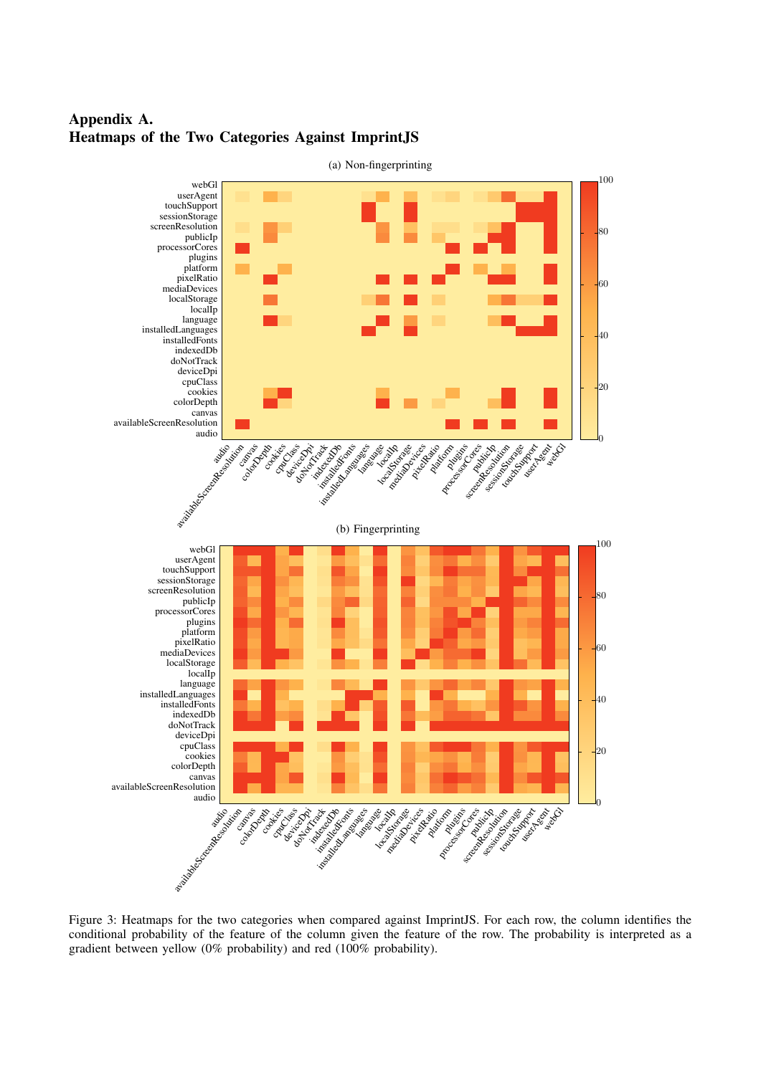

# <span id="page-12-0"></span>Appendix A. Heatmaps of the Two Categories Against ImprintJS

Figure 3: Heatmaps for the two categories when compared against ImprintJS. For each row, the column identifies the conditional probability of the feature of the column given the feature of the row. The probability is interpreted as a gradient between yellow (0% probability) and red (100% probability).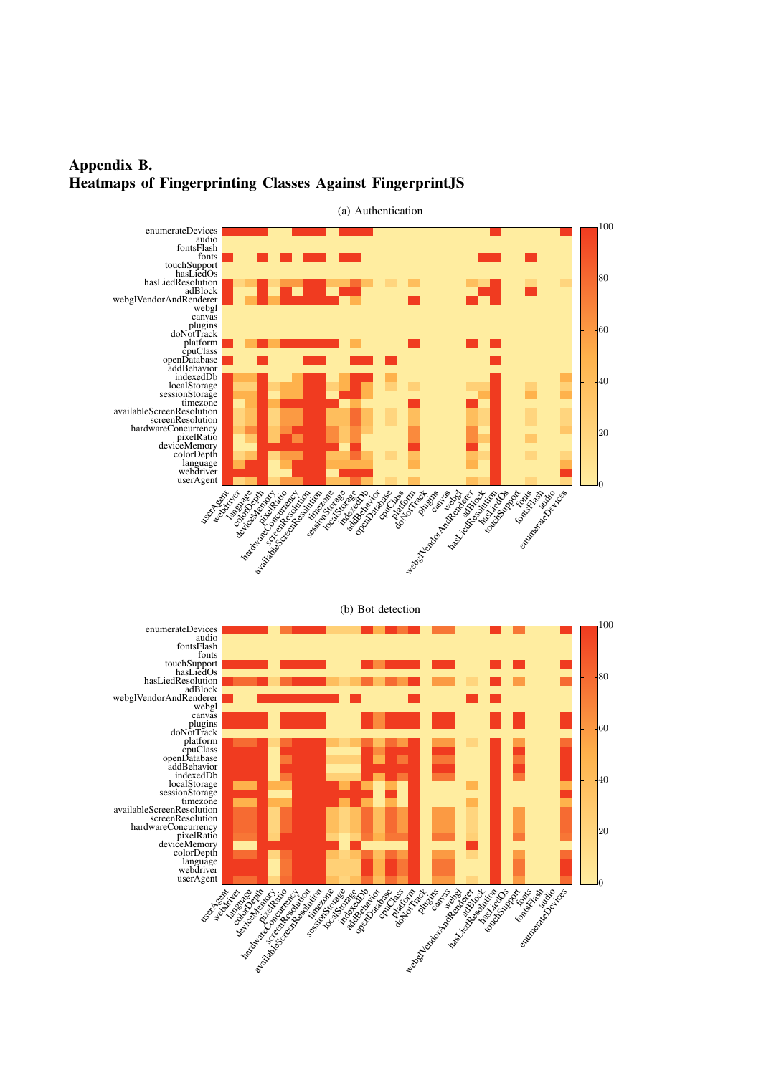<span id="page-13-0"></span>



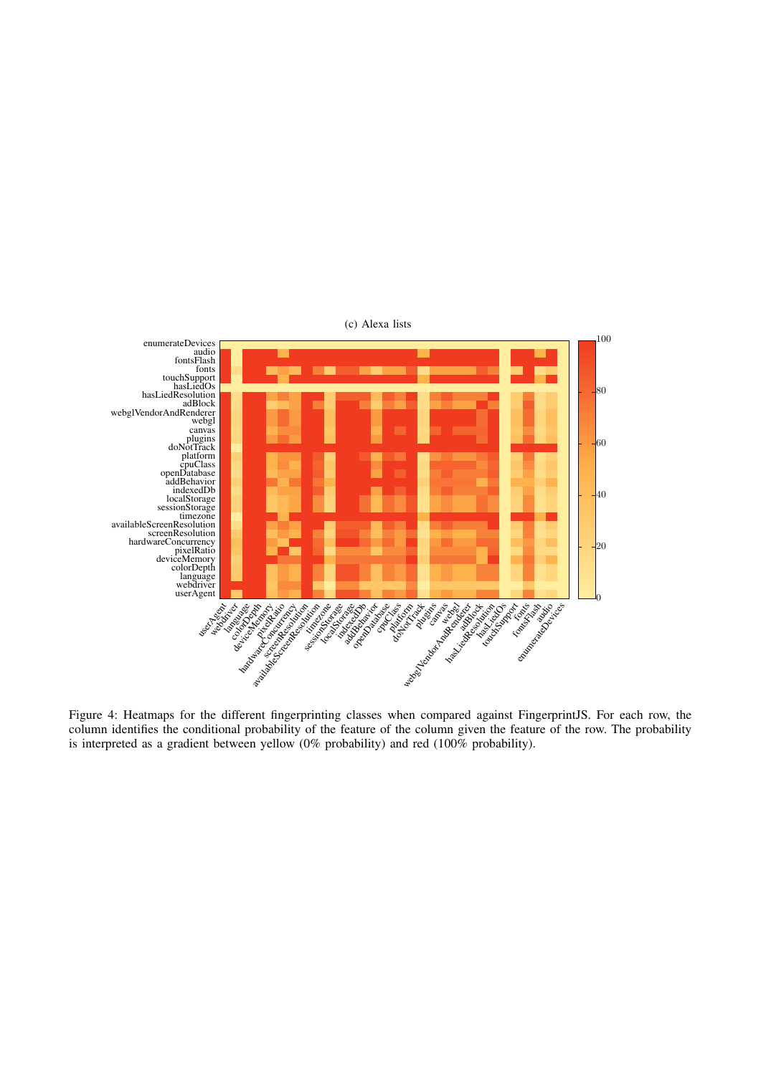

Figure 4: Heatmaps for the different fingerprinting classes when compared against FingerprintJS. For each row, the column identifies the conditional probability of the feature of the column given the feature of the row. The probability is interpreted as a gradient between yellow (0% probability) and red (100% probability).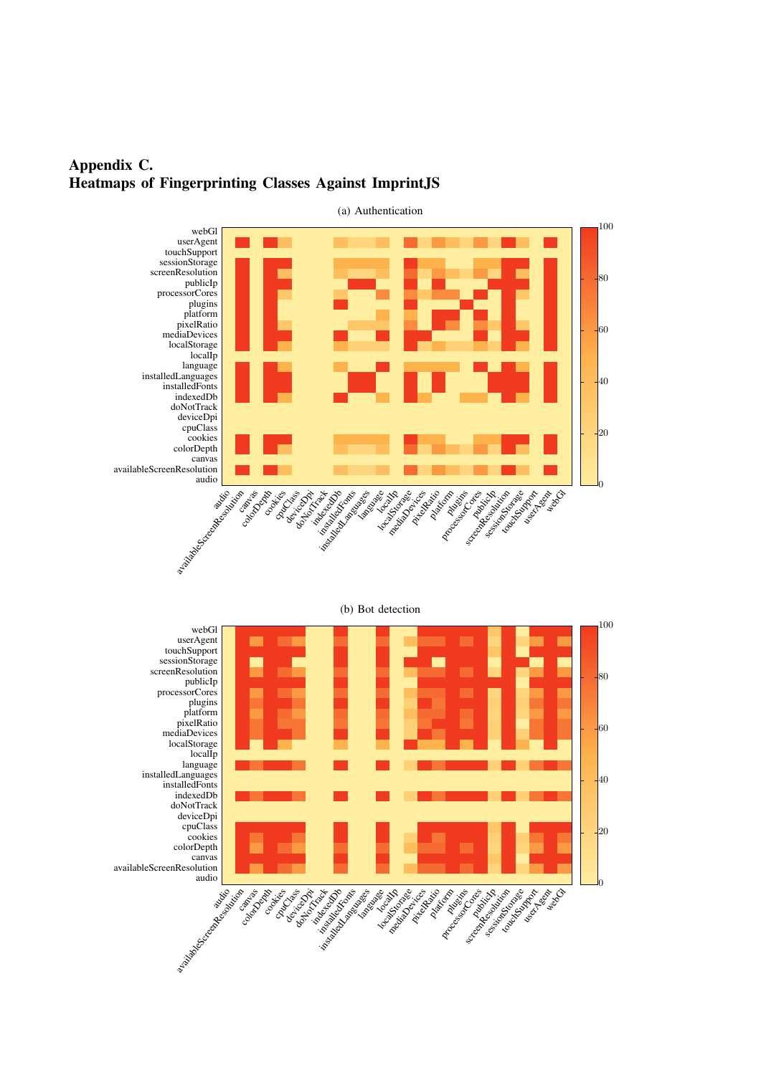# <span id="page-15-0"></span>Appendix C. Heatmaps of Fingerprinting Classes Against ImprintJS